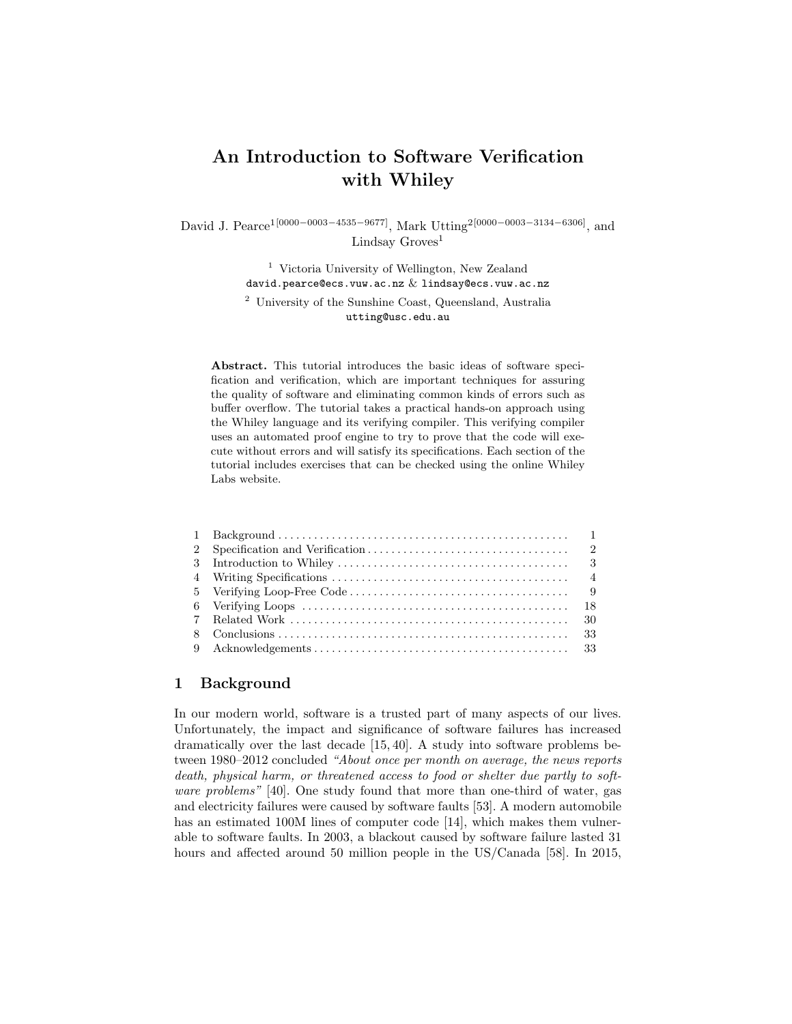# An Introduction to Software Verification with Whiley

David J. Pearce<sup>1[0000–0003–4535–9677]</sup>, Mark Utting<sup>2[0000–0003–3134–6306]</sup>, and Lindsay  $G$ roves<sup>1</sup>

> <sup>1</sup> Victoria University of Wellington, New Zealand david.pearce@ecs.vuw.ac.nz  $\&$  lindsay@ecs.vuw.ac.nz

> <sup>2</sup> University of the Sunshine Coast, Queensland, Australia utting@usc.edu.au

Abstract. This tutorial introduces the basic ideas of software specification and verification, which are important techniques for assuring the quality of software and eliminating common kinds of errors such as buffer overflow. The tutorial takes a practical hands-on approach using the Whiley language and its verifying compiler. This verifying compiler uses an automated proof engine to try to prove that the code will execute without errors and will satisfy its specifications. Each section of the tutorial includes exercises that can be checked using the online Whiley Labs website.

# 1 Background

In our modern world, software is a trusted part of many aspects of our lives. Unfortunately, the impact and significance of software failures has increased dramatically over the last decade [15, 40]. A study into software problems between 1980–2012 concluded "About once per month on average, the news reports death, physical harm, or threatened access to food or shelter due partly to software problems" [40]. One study found that more than one-third of water, gas and electricity failures were caused by software faults [53]. A modern automobile has an estimated 100M lines of computer code [14], which makes them vulnerable to software faults. In 2003, a blackout caused by software failure lasted 31 hours and affected around 50 million people in the US/Canada [58]. In 2015,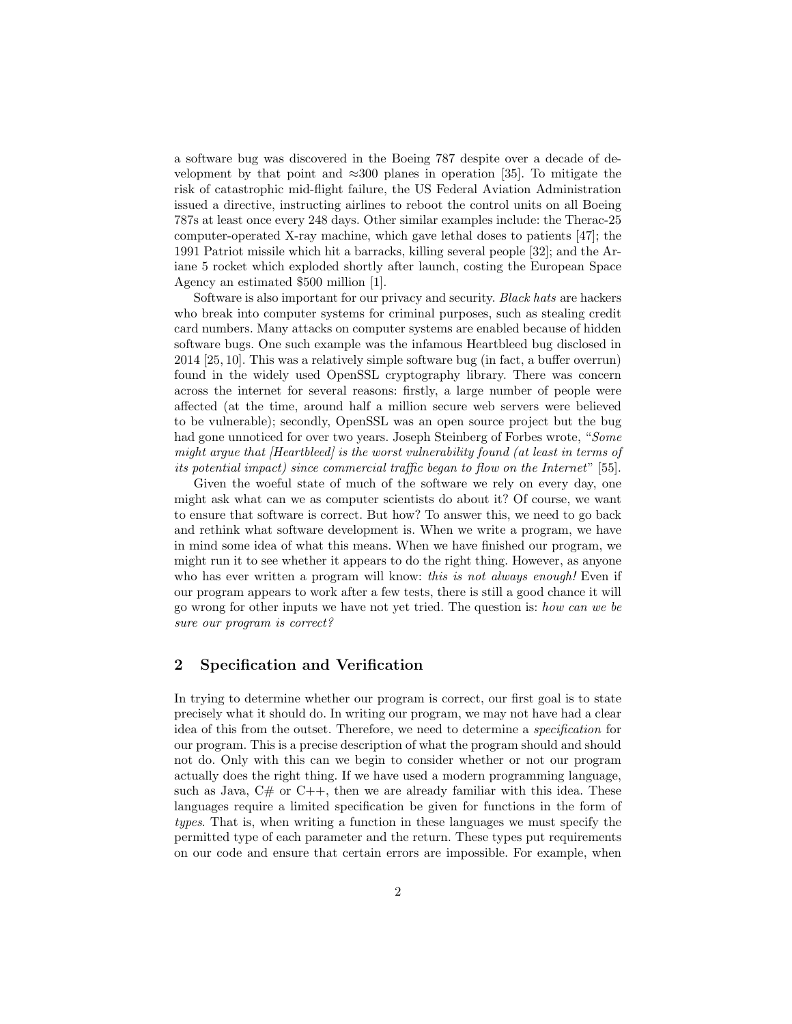a software bug was discovered in the Boeing 787 despite over a decade of development by that point and  $\approx 300$  planes in operation [35]. To mitigate the risk of catastrophic mid-flight failure, the US Federal Aviation Administration issued a directive, instructing airlines to reboot the control units on all Boeing 787s at least once every 248 days. Other similar examples include: the Therac-25 computer-operated X-ray machine, which gave lethal doses to patients [47]; the 1991 Patriot missile which hit a barracks, killing several people [32]; and the Ariane 5 rocket which exploded shortly after launch, costing the European Space Agency an estimated \$500 million [1].

Software is also important for our privacy and security. Black hats are hackers who break into computer systems for criminal purposes, such as stealing credit card numbers. Many attacks on computer systems are enabled because of hidden software bugs. One such example was the infamous Heartbleed bug disclosed in 2014 [25, 10]. This was a relatively simple software bug (in fact, a buffer overrun) found in the widely used OpenSSL cryptography library. There was concern across the internet for several reasons: firstly, a large number of people were affected (at the time, around half a million secure web servers were believed to be vulnerable); secondly, OpenSSL was an open source project but the bug had gone unnoticed for over two years. Joseph Steinberg of Forbes wrote, "Some might argue that [Heartbleed] is the worst vulnerability found (at least in terms of its potential impact) since commercial traffic began to flow on the Internet" [55].

Given the woeful state of much of the software we rely on every day, one might ask what can we as computer scientists do about it? Of course, we want to ensure that software is correct. But how? To answer this, we need to go back and rethink what software development is. When we write a program, we have in mind some idea of what this means. When we have finished our program, we might run it to see whether it appears to do the right thing. However, as anyone who has ever written a program will know: this is not always enough! Even if our program appears to work after a few tests, there is still a good chance it will go wrong for other inputs we have not yet tried. The question is: how can we be sure our program is correct?

# 2 Specification and Verification

In trying to determine whether our program is correct, our first goal is to state precisely what it should do. In writing our program, we may not have had a clear idea of this from the outset. Therefore, we need to determine a specification for our program. This is a precise description of what the program should and should not do. Only with this can we begin to consider whether or not our program actually does the right thing. If we have used a modern programming language, such as Java,  $C#$  or  $C++$ , then we are already familiar with this idea. These languages require a limited specification be given for functions in the form of types. That is, when writing a function in these languages we must specify the permitted type of each parameter and the return. These types put requirements on our code and ensure that certain errors are impossible. For example, when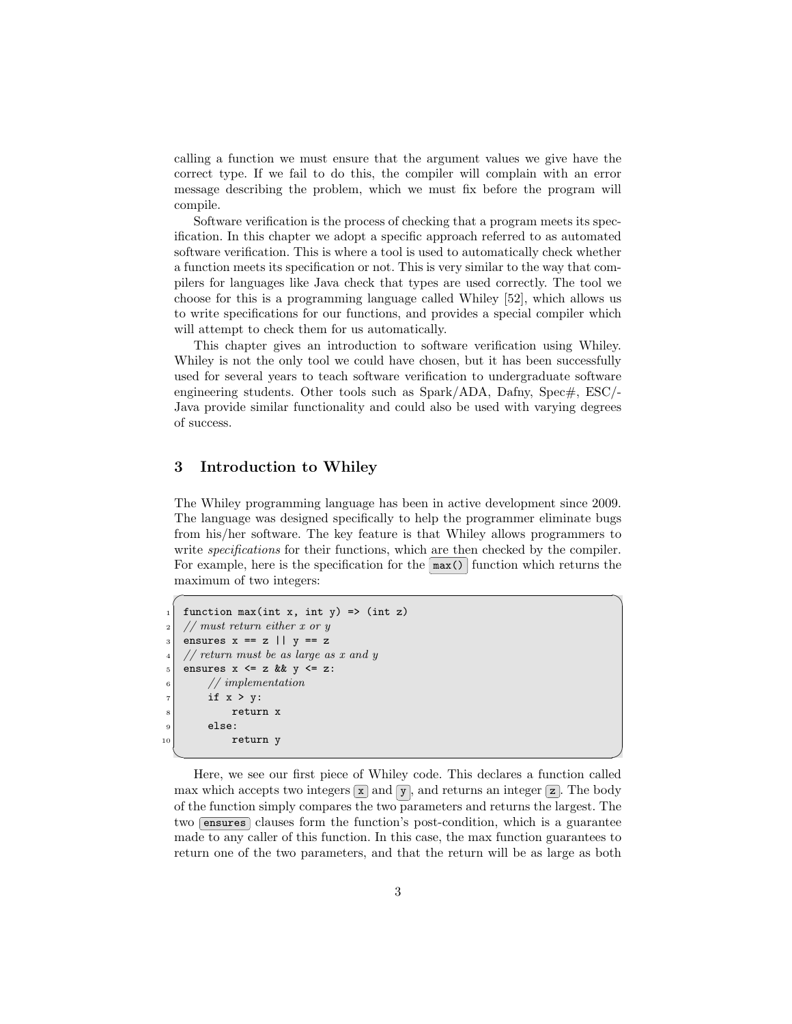calling a function we must ensure that the argument values we give have the correct type. If we fail to do this, the compiler will complain with an error message describing the problem, which we must fix before the program will compile.

Software verification is the process of checking that a program meets its specification. In this chapter we adopt a specific approach referred to as automated software verification. This is where a tool is used to automatically check whether a function meets its specification or not. This is very similar to the way that compilers for languages like Java check that types are used correctly. The tool we choose for this is a programming language called Whiley [52], which allows us to write specifications for our functions, and provides a special compiler which will attempt to check them for us automatically.

This chapter gives an introduction to software verification using Whiley. Whiley is not the only tool we could have chosen, but it has been successfully used for several years to teach software verification to undergraduate software engineering students. Other tools such as  $\text{Spark}/\text{ADA}$ ,  $\text{Dafny}$ ,  $\text{Spec}\#$ ,  $\text{ESC}/\text{-}$ Java provide similar functionality and could also be used with varying degrees of success.

# 3 Introduction to Whiley

The Whiley programming language has been in active development since 2009. The language was designed specifically to help the programmer eliminate bugs from his/her software. The key feature is that Whiley allows programmers to write *specifications* for their functions, which are then checked by the compiler. For example, here is the specification for the  $|\max()$  function which returns the maximum of two integers:

✎ ☞

```
function max(int x, int y) => (int z)
   1/ must return either x or y
   ensures x == z || y == z// return must be as large as x and y
   ensures x \le z \& x \ y \le z:
        // implementationif x > y:
            return x
       else:
10 return y
```
Here, we see our first piece of Whiley code. This declares a function called max which accepts two integers  $\boxed{\mathbf{x}}$  and  $\boxed{\mathbf{y}}$ , and returns an integer  $\boxed{\mathbf{z}}$ . The body of the function simply compares the two parameters and returns the largest. The two ensures clauses form the function's post-condition, which is a guarantee made to any caller of this function. In this case, the max function guarantees to return one of the two parameters, and that the return will be as large as both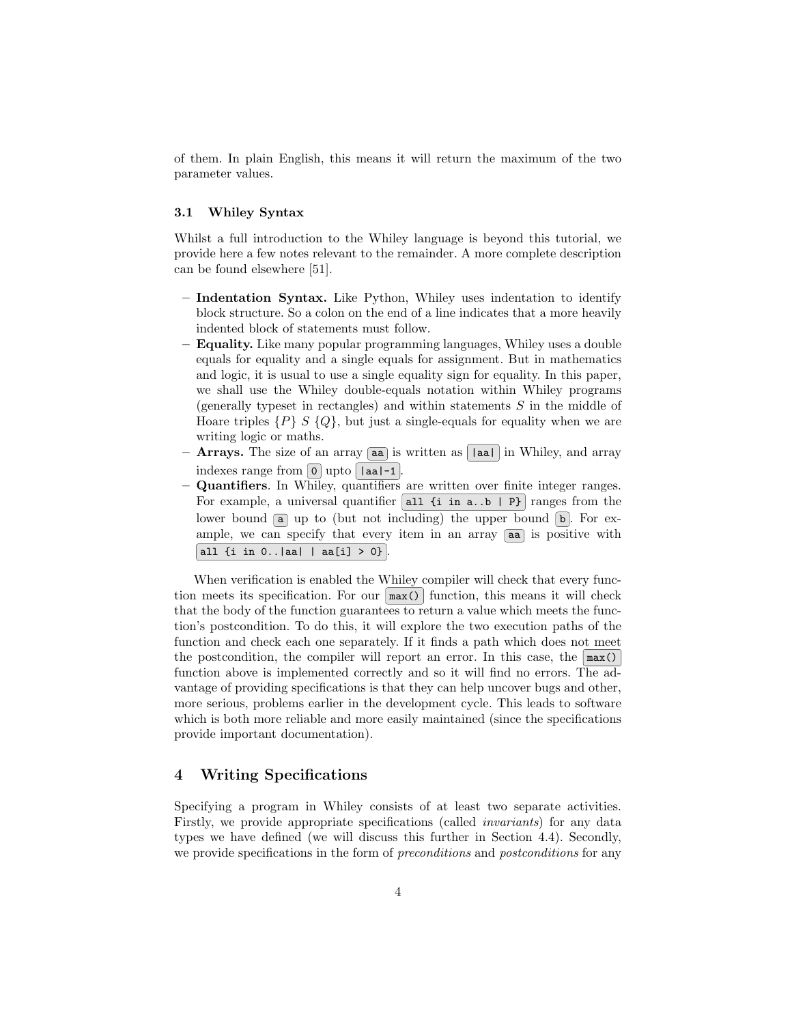of them. In plain English, this means it will return the maximum of the two parameter values.

#### 3.1 Whiley Syntax

Whilst a full introduction to the Whiley language is beyond this tutorial, we provide here a few notes relevant to the remainder. A more complete description can be found elsewhere [51].

- Indentation Syntax. Like Python, Whiley uses indentation to identify block structure. So a colon on the end of a line indicates that a more heavily indented block of statements must follow.
- Equality. Like many popular programming languages, Whiley uses a double equals for equality and a single equals for assignment. But in mathematics and logic, it is usual to use a single equality sign for equality. In this paper, we shall use the Whiley double-equals notation within Whiley programs (generally typeset in rectangles) and within statements  $S$  in the middle of Hoare triples  $\{P\} S \{Q\}$ , but just a single-equals for equality when we are writing logic or maths.
- **Arrays.** The size of an array  $\alpha$  is written as  $|\alpha|$  in Whiley, and array indexes range from  $\boxed{0}$  upto  $\boxed{aa[-1]}$
- Quantifiers. In Whiley, quantifiers are written over finite integer ranges. For example, a universal quantifier all  $\{i \text{ in } a \ldots b \mid P\}$  ranges from the lower bound  $\boxed{a}$  up to (but not including) the upper bound  $\boxed{b}$ . For example, we can specify that every item in an array  $\boxed{aa}$  is positive with  $|$  all {i in 0.. | aa| | aa[i] > 0}  $|$

When verification is enabled the Whiley compiler will check that every function meets its specification. For our  $\vert \text{max}() \vert$  function, this means it will check that the body of the function guarantees to return a value which meets the function's postcondition. To do this, it will explore the two execution paths of the function and check each one separately. If it finds a path which does not meet the postcondition, the compiler will report an error. In this case, the  $|\max()$ function above is implemented correctly and so it will find no errors. The advantage of providing specifications is that they can help uncover bugs and other, more serious, problems earlier in the development cycle. This leads to software which is both more reliable and more easily maintained (since the specifications provide important documentation).

# 4 Writing Specifications

Specifying a program in Whiley consists of at least two separate activities. Firstly, we provide appropriate specifications (called invariants) for any data types we have defined (we will discuss this further in Section 4.4). Secondly, we provide specifications in the form of *preconditions* and *postconditions* for any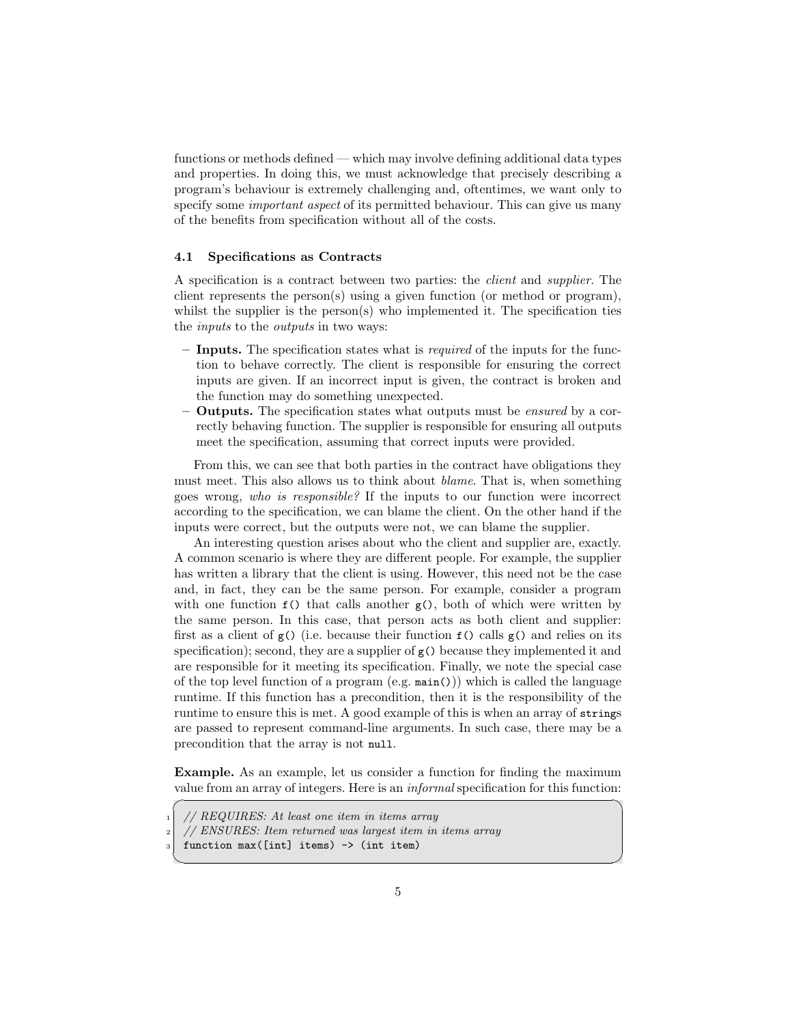functions or methods defined — which may involve defining additional data types and properties. In doing this, we must acknowledge that precisely describing a program's behaviour is extremely challenging and, oftentimes, we want only to specify some *important aspect* of its permitted behaviour. This can give us many of the benefits from specification without all of the costs.

#### 4.1 Specifications as Contracts

A specification is a contract between two parties: the client and supplier. The client represents the person(s) using a given function (or method or program), whilst the supplier is the person(s) who implemented it. The specification ties the inputs to the outputs in two ways:

- Inputs. The specification states what is required of the inputs for the function to behave correctly. The client is responsible for ensuring the correct inputs are given. If an incorrect input is given, the contract is broken and the function may do something unexpected.
- **Outputs.** The specification states what outputs must be *ensured* by a correctly behaving function. The supplier is responsible for ensuring all outputs meet the specification, assuming that correct inputs were provided.

From this, we can see that both parties in the contract have obligations they must meet. This also allows us to think about *blame*. That is, when something goes wrong, who is responsible? If the inputs to our function were incorrect according to the specification, we can blame the client. On the other hand if the inputs were correct, but the outputs were not, we can blame the supplier.

An interesting question arises about who the client and supplier are, exactly. A common scenario is where they are different people. For example, the supplier has written a library that the client is using. However, this need not be the case and, in fact, they can be the same person. For example, consider a program with one function  $f()$  that calls another  $g()$ , both of which were written by the same person. In this case, that person acts as both client and supplier: first as a client of  $g()$  (i.e. because their function  $f()$  calls  $g()$  and relies on its specification); second, they are a supplier of  $g()$  because they implemented it and are responsible for it meeting its specification. Finally, we note the special case of the top level function of a program  $(e.g., \text{main}))$  which is called the language runtime. If this function has a precondition, then it is the responsibility of the runtime to ensure this is met. A good example of this is when an array of strings are passed to represent command-line arguments. In such case, there may be a precondition that the array is not null.

Example. As an example, let us consider a function for finding the maximum  $\sqrt{2}$ value from an array of integers. Here is an informal specification for this function:

☞

<sup>1</sup> // REQUIRES: At least one item in items array

<sup>//</sup> ENSURES: Item returned was largest item in items array

function max([int] items) -> (int item)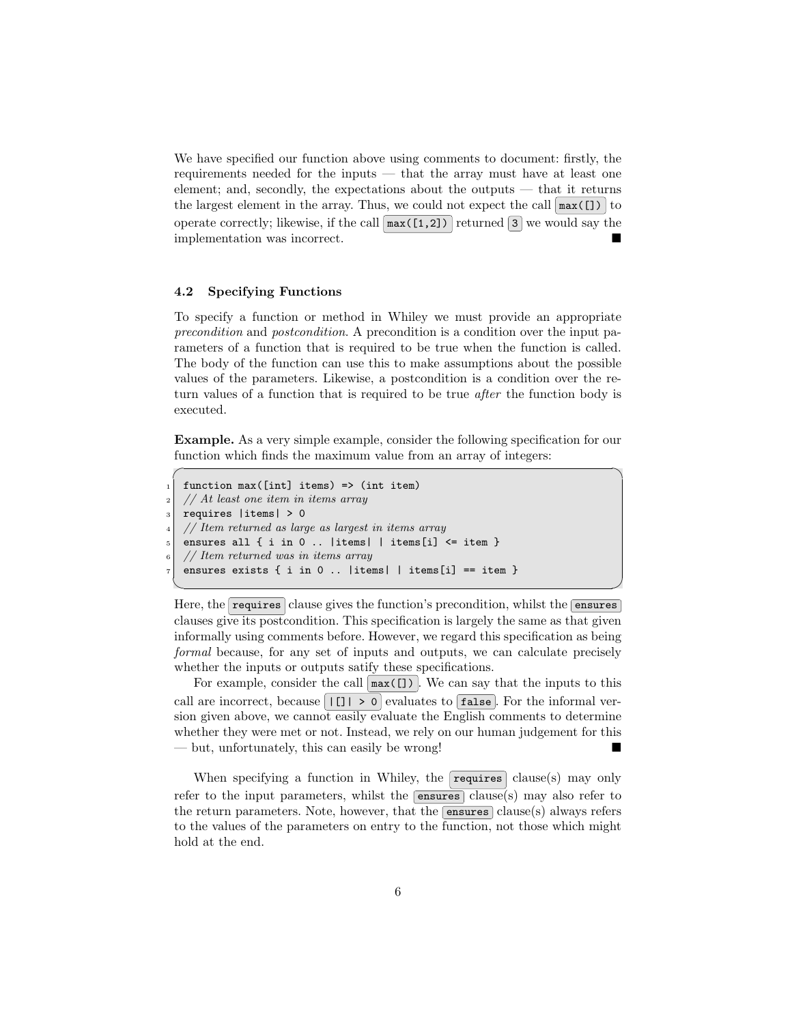We have specified our function above using comments to document: firstly, the requirements needed for the inputs — that the array must have at least one element; and, secondly, the expectations about the outputs — that it returns the largest element in the array. Thus, we could not expect the call  $\lceil \max(1) \rceil$  to operate correctly; likewise, if the call  $\left[\max([1,2])\right]$  returned  $\overline{3}$  we would say the implementation was incorrect.

### 4.2 Specifying Functions

To specify a function or method in Whiley we must provide an appropriate precondition and postcondition. A precondition is a condition over the input parameters of a function that is required to be true when the function is called. The body of the function can use this to make assumptions about the possible values of the parameters. Likewise, a postcondition is a condition over the return values of a function that is required to be true after the function body is executed.

Example. As a very simple example, consider the following specification for our  $\sqrt{2}$ function which finds the maximum value from an array of integers:

```
function max([int] items) => (int item)
1/4 At least one item in items array
3 requires |items| > 0
1/ Item returned as large as largest in items array
ensures all { i in 0 .. |items| | items[i] \le item }
// Item returned was in items array
ensures exists { i in 0 .. |items| | items[i] == item }
```
Here, the requires clause gives the function's precondition, whilst the  $\sqrt{\mathsf{ensures}}$ clauses give its postcondition. This specification is largely the same as that given informally using comments before. However, we regard this specification as being formal because, for any set of inputs and outputs, we can calculate precisely whether the inputs or outputs satify these specifications.

 $\overline{\phantom{a}}$ 

For example, consider the call  $|\max([] )|$ . We can say that the inputs to this call are incorrect, because  $\boxed{|\Pi| > 0}$  evaluates to **false**. For the informal version given above, we cannot easily evaluate the English comments to determine whether they were met or not. Instead, we rely on our human judgement for this — but, unfortunately, this can easily be wrong!

When specifying a function in Whiley, the requires clause(s) may only refer to the input parameters, whilst the  $\sqrt{\frac{1}{n}}$  clause(s) may also refer to the return parameters. Note, however, that the  $\sqrt{\frac{1}{n}}$  clause(s) always refers to the values of the parameters on entry to the function, not those which might hold at the end.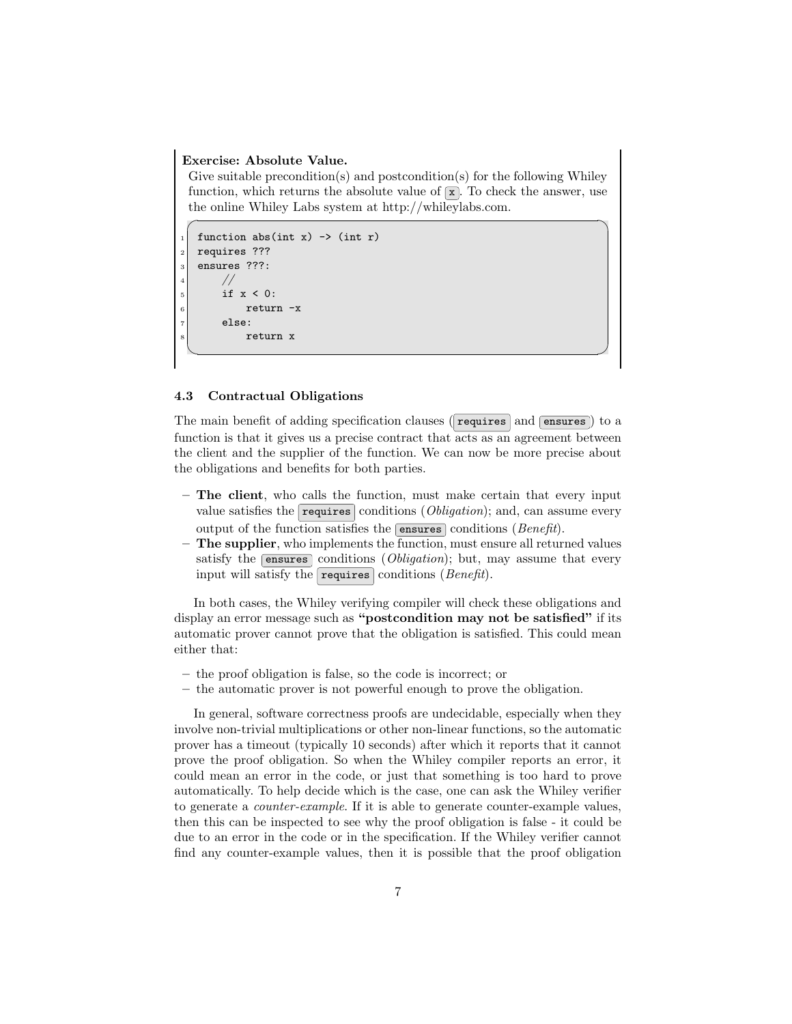#### Exercise: Absolute Value.

 $\sqrt{2}$ 

Give suitable precondition(s) and postcondition(s) for the following Whiley function, which returns the absolute value of  $\overline{x}$ . To check the answer, use the online Whiley Labs system at http://whileylabs.com.

☞

```
function abs(int x) \rightarrow (int r)
2 requires ???
3 ensures ???:
    \frac{1}{2}if x < 0:
       return -x
7 else:
       return x
 ✍ ✌
```
#### 4.3 Contractual Obligations

The main benefit of adding specification clauses ( $requires$ ) and  $\overline{ensures}$ ) to a function is that it gives us a precise contract that acts as an agreement between the client and the supplier of the function. We can now be more precise about the obligations and benefits for both parties.

- The client, who calls the function, must make certain that every input value satisfies the requires conditions (*Obligation*); and, can assume every output of the function satisfies the  $\sqrt{\mathsf{ensures}}$  conditions (*Benefit*).
- The supplier, who implements the function, must ensure all returned values satisfy the ensures conditions (*Obligation*); but, may assume that every input will satisfy the  $r_{\text{requires}}$  conditions (*Benefit*).

In both cases, the Whiley verifying compiler will check these obligations and display an error message such as "postcondition may not be satisfied" if its automatic prover cannot prove that the obligation is satisfied. This could mean either that:

- the proof obligation is false, so the code is incorrect; or
- the automatic prover is not powerful enough to prove the obligation.

In general, software correctness proofs are undecidable, especially when they involve non-trivial multiplications or other non-linear functions, so the automatic prover has a timeout (typically 10 seconds) after which it reports that it cannot prove the proof obligation. So when the Whiley compiler reports an error, it could mean an error in the code, or just that something is too hard to prove automatically. To help decide which is the case, one can ask the Whiley verifier to generate a counter-example. If it is able to generate counter-example values, then this can be inspected to see why the proof obligation is false - it could be due to an error in the code or in the specification. If the Whiley verifier cannot find any counter-example values, then it is possible that the proof obligation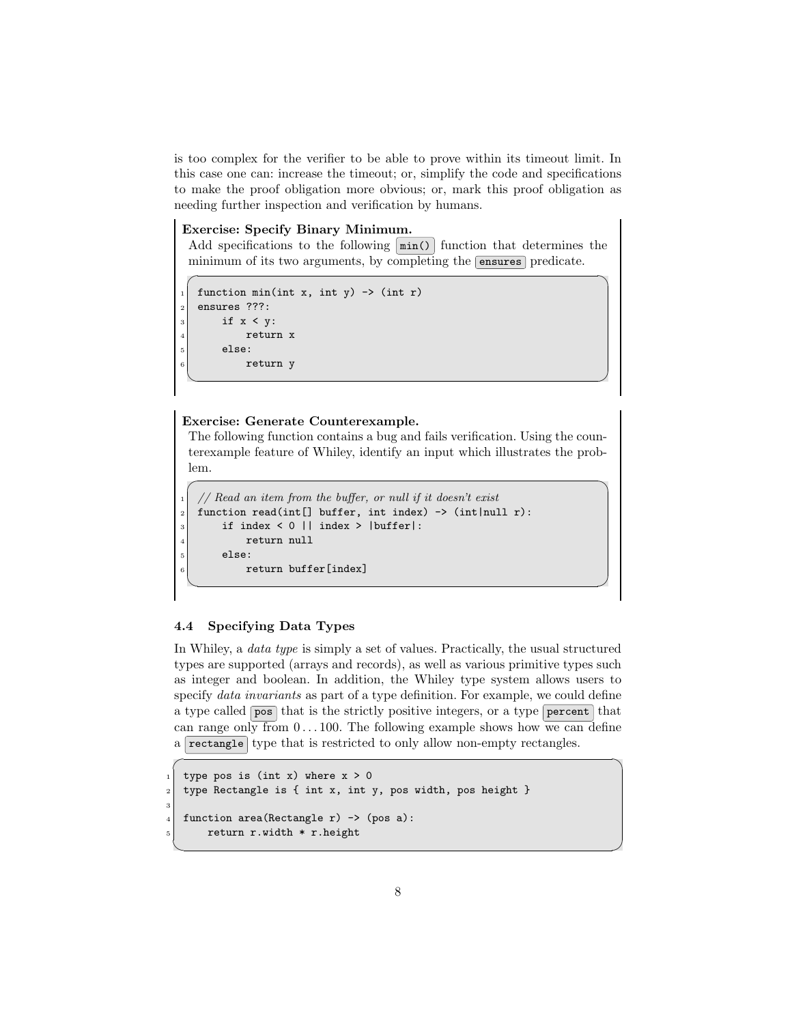is too complex for the verifier to be able to prove within its timeout limit. In this case one can: increase the timeout; or, simplify the code and specifications to make the proof obligation more obvious; or, mark this proof obligation as needing further inspection and verification by humans.

#### Exercise: Specify Binary Minimum.

Add specifications to the following  $\min()$  function that determines the minimum of its two arguments, by completing the ensures predicate.

 $\sqrt{2}$ 

 $\overline{\phantom{a}}$ 

```
function min(int x, int y) \rightarrow (int r)
   ensures ???:
|3| if x < y:
           return x
       else:
           return y
```
### Exercise: Generate Counterexample.

The following function contains a bug and fails verification. Using the counterexample feature of Whiley, identify an input which illustrates the prob lem.

☞

```
1 / Read an item from the buffer, or null if it doesn't exist
   function read(int[] buffer, int index) -> (int|null r):
|3| if index < 0 || index > |buffer|:
           return null
       5 else:
           return buffer[index]
```
# 4.4 Specifying Data Types

 $\sqrt{2}$ 

3

In Whiley, a data type is simply a set of values. Practically, the usual structured types are supported (arrays and records), as well as various primitive types such as integer and boolean. In addition, the Whiley type system allows users to specify *data invariants* as part of a type definition. For example, we could define a type called  $\lceil \overline{pos} \rceil$  that is the strictly positive integers, or a type  $\lceil \overline{percent} \rceil$  that can range only from  $0 \dots 100$ . The following example shows how we can define a rectangle type that is restricted to only allow non-empty rectangles.

 $\overline{\phantom{a}}$ 

 $\overline{\phantom{a}}$ 

```
type pos is (int x) where x > 0type Rectangle is { int x, int y, pos width, pos height }
function area(Rectangle r) \rightarrow (pos a):
    5 return r.width * r.height
```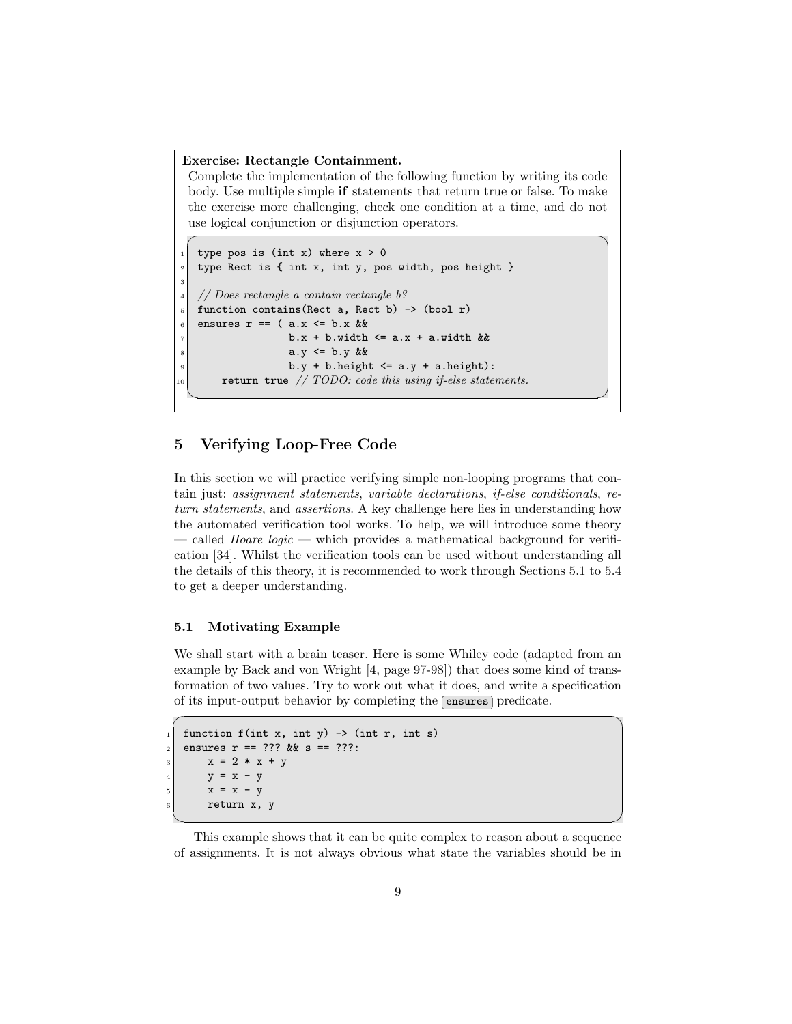#### Exercise: Rectangle Containment.

3

Complete the implementation of the following function by writing its code body. Use multiple simple if statements that return true or false. To make the exercise more challenging, check one condition at a time, and do not use logical conjunction or disjunction operators.

☞

```
\sqrt{2}type pos is (int x) where x > 0type Rect is { int x, int y, pos width, pos height }
   // Does rectangle a contain rectangle b?
   function contains(Rect a, Rect b) \rightarrow (bool r)
   ensures r == (a.x \le b.x \&x)b.x + b.width \leq a.x + a.width \&&a.y \leq b.y \&&b.y + b.height \leq a.y + a.height):
10 return true // TODO: code this using if-else statements.
```
# 5 Verifying Loop-Free Code

In this section we will practice verifying simple non-looping programs that contain just: assignment statements, variable declarations, if-else conditionals, return statements, and assertions. A key challenge here lies in understanding how the automated verification tool works. To help, we will introduce some theory — called *Hoare logic* — which provides a mathematical background for verification [34]. Whilst the verification tools can be used without understanding all the details of this theory, it is recommended to work through Sections 5.1 to 5.4 to get a deeper understanding.

 $\overline{\phantom{a}}$ 

#### 5.1 Motivating Example

We shall start with a brain teaser. Here is some Whiley code (adapted from an example by Back and von Wright [4, page 97-98]) that does some kind of transformation of two values. Try to work out what it does, and write a specification of its input-output behavior by completing the ensures predicate.

 $\overline{\phantom{a}}$ 

```
function f(int x, int y) \rightarrow (int r, int s)ensures r = 7?? && s == ???:
    x = 2 * x + yy = x - yx = x - yreturn x, y
```
This example shows that it can be quite complex to reason about a sequence of assignments. It is not always obvious what state the variables should be in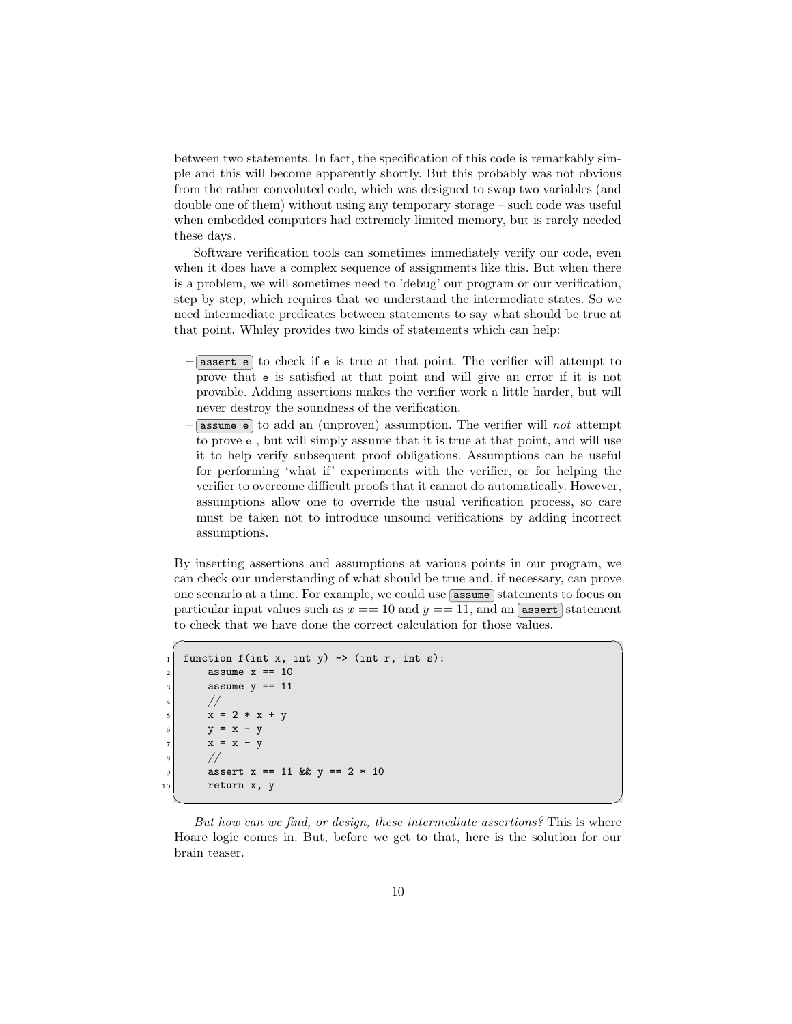between two statements. In fact, the specification of this code is remarkably simple and this will become apparently shortly. But this probably was not obvious from the rather convoluted code, which was designed to swap two variables (and double one of them) without using any temporary storage – such code was useful when embedded computers had extremely limited memory, but is rarely needed these days.

Software verification tools can sometimes immediately verify our code, even when it does have a complex sequence of assignments like this. But when there is a problem, we will sometimes need to 'debug' our program or our verification, step by step, which requires that we understand the intermediate states. So we need intermediate predicates between statements to say what should be true at that point. Whiley provides two kinds of statements which can help:

- $-\sqrt{a}$  assert e to check if e is true at that point. The verifier will attempt to prove that e is satisfied at that point and will give an error if it is not provable. Adding assertions makes the verifier work a little harder, but will never destroy the soundness of the verification.
- $\sqrt{a}$  assume  $\overline{e}$  to add an (unproven) assumption. The verifier will not attempt to prove e , but will simply assume that it is true at that point, and will use it to help verify subsequent proof obligations. Assumptions can be useful for performing 'what if' experiments with the verifier, or for helping the verifier to overcome difficult proofs that it cannot do automatically. However, assumptions allow one to override the usual verification process, so care must be taken not to introduce unsound verifications by adding incorrect assumptions.

By inserting assertions and assumptions at various points in our program, we can check our understanding of what should be true and, if necessary, can prove one scenario at a time. For example, we could use **assume** statements to focus on particular input values such as  $x == 10$  and  $y == 11$ , and an **assert** statement to check that we have done the correct calculation for those values.

 $\sqrt{2}$ 

```
function f(int x, int y) \rightarrow (int r, int s):
       assume x == 10assume y == 114 //
       x = 2 * x + yy = x - yx = x - y8 //
9 assert x == 11 & y = 2 * 10_{10} return x, y
```
But how can we find, or design, these intermediate assertions? This is where Hoare logic comes in. But, before we get to that, here is the solution for our brain teaser.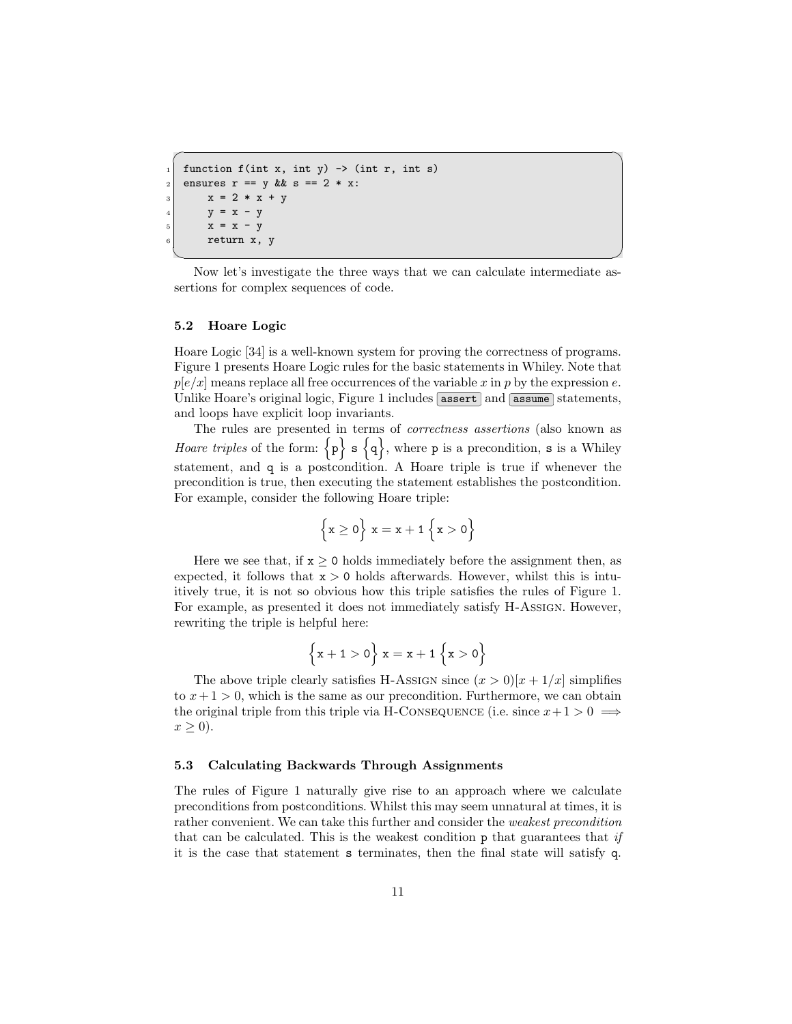```
function f(int x, int y) \rightarrow (int r, int s)ensures r == y & s == 2 * x:
    x = 2 * x + yy = x - yx = x - yreturn x, y
```
Now let's investigate the three ways that we can calculate intermediate assertions for complex sequences of code.

 $\overline{\phantom{a}}$ 

✎ ☞

#### 5.2 Hoare Logic

Hoare Logic [34] is a well-known system for proving the correctness of programs. Figure 1 presents Hoare Logic rules for the basic statements in Whiley. Note that  $p[e/x]$  means replace all free occurrences of the variable x in p by the expression e. Unlike Hoare's original logic, Figure 1 includes assert and assume statements, and loops have explicit loop invariants.

The rules are presented in terms of correctness assertions (also known as Hoare triples of the form:  $\{p\} s \{q\}$ , where p is a precondition, s is a Whiley statement, and q is a postcondition. A Hoare triple is true if whenever the precondition is true, then executing the statement establishes the postcondition. For example, consider the following Hoare triple:

$$
\left\{ x\geq 0\right\} \,x=x+1\,\left\{ x>0\right\}
$$

Here we see that, if  $x \ge 0$  holds immediately before the assignment then, as expected, it follows that  $x > 0$  holds afterwards. However, whilst this is intuitively true, it is not so obvious how this triple satisfies the rules of Figure 1. For example, as presented it does not immediately satisfy H-Assign. However, rewriting the triple is helpful here:

$$
\Big\{x+1>0\Big\}\;x=x+1\;\Big\{x>0\Big\}
$$

The above triple clearly satisfies H-Assign since  $(x > 0)(x + 1/x)$  simplifies to  $x + 1 > 0$ , which is the same as our precondition. Furthermore, we can obtain the original triple from this triple via H-CONSEQUENCE (i.e. since  $x+1>0 \implies$  $x \geq 0$ ).

#### 5.3 Calculating Backwards Through Assignments

The rules of Figure 1 naturally give rise to an approach where we calculate preconditions from postconditions. Whilst this may seem unnatural at times, it is rather convenient. We can take this further and consider the weakest precondition that can be calculated. This is the weakest condition  $p$  that guarantees that if it is the case that statement s terminates, then the final state will satisfy q.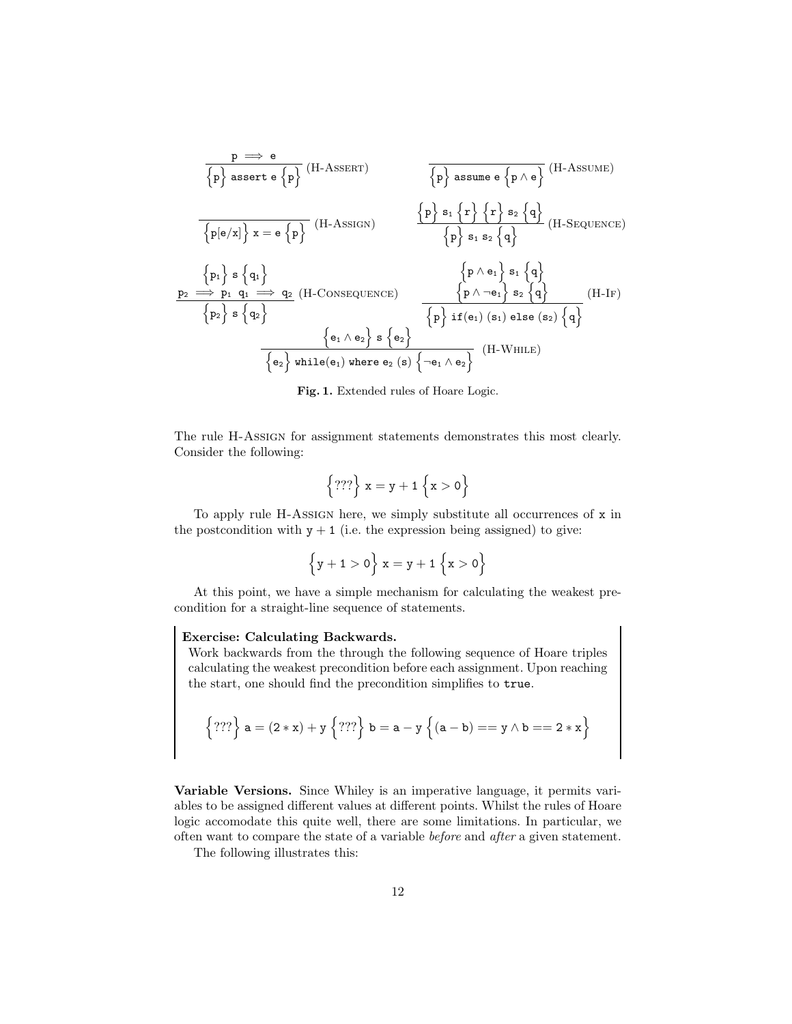$$
\frac{p \implies e}{\{p\} \text{ assert } e \{p\}} \text{ (H-ASSERT)} \qquad \frac{\{p\} \text{ assume } e \{p \land e\}}{\{p \} \text{ assume } e \{p \land e\}} \text{ (H-ASSUME)} \}
$$
\n
$$
\frac{\{p\} s_1 \{r\} \{r\} s_2 \{q\}}{\{p \} s_1 s_2 \{q\}} \text{ (H-SEQUENCE)}
$$
\n
$$
\frac{\{p\} s_1 \{r\} \{r\} s_2 \{q\}}{\{p \} s_1 s_2 \{q\}} \text{ (H-SEQUENCE)}
$$
\n
$$
\frac{\{p \land e_1\} s_1 \{q\}}{\{p \} s_1 s_2 \{q\}} \text{ (H-SEQUENCE)}
$$
\n
$$
\frac{\{p \land e_1\} s_1 \{q\}}{\{p \} s_1 \{q\}} \text{ (H-IF)}
$$
\n
$$
\frac{\{p \land e_1\} s_1 \{q\}}{\{p \} \text{ if } (e_1) (s_1) \text{ else } (s_2) \{q\}} \text{ (H-IF)}
$$
\n
$$
\frac{\{e_1 \land e_2\} s \{e_2\}}{\{e_2\} \text{ while } (e_1) \text{ where } e_2 \text{ (s) } \{-e_1 \land e_2\}} \text{ (H-WHILE)}
$$

Fig. 1. Extended rules of Hoare Logic.

The rule H-Assign for assignment statements demonstrates this most clearly. Consider the following:

$$
\Big\{???\Big\}\ x=y+1\ \Big\{x>0\Big\}
$$

To apply rule H-Assign here, we simply substitute all occurrences of x in the postcondition with  $y + 1$  (i.e. the expression being assigned) to give:

$$
\Big\{y+1>0\Big\}\;x=y+1\;\Big\{x>0\Big\}
$$

At this point, we have a simple mechanism for calculating the weakest precondition for a straight-line sequence of statements.

#### Exercise: Calculating Backwards.

Work backwards from the through the following sequence of Hoare triples calculating the weakest precondition before each assignment. Upon reaching the start, one should find the precondition simplifies to true.

$$
\{??\} a = (2 * x) + y \{??\} b = a - y \{(a - b) == y \land b == 2 * x\}
$$

Variable Versions. Since Whiley is an imperative language, it permits variables to be assigned different values at different points. Whilst the rules of Hoare logic accomodate this quite well, there are some limitations. In particular, we often want to compare the state of a variable before and after a given statement.

The following illustrates this: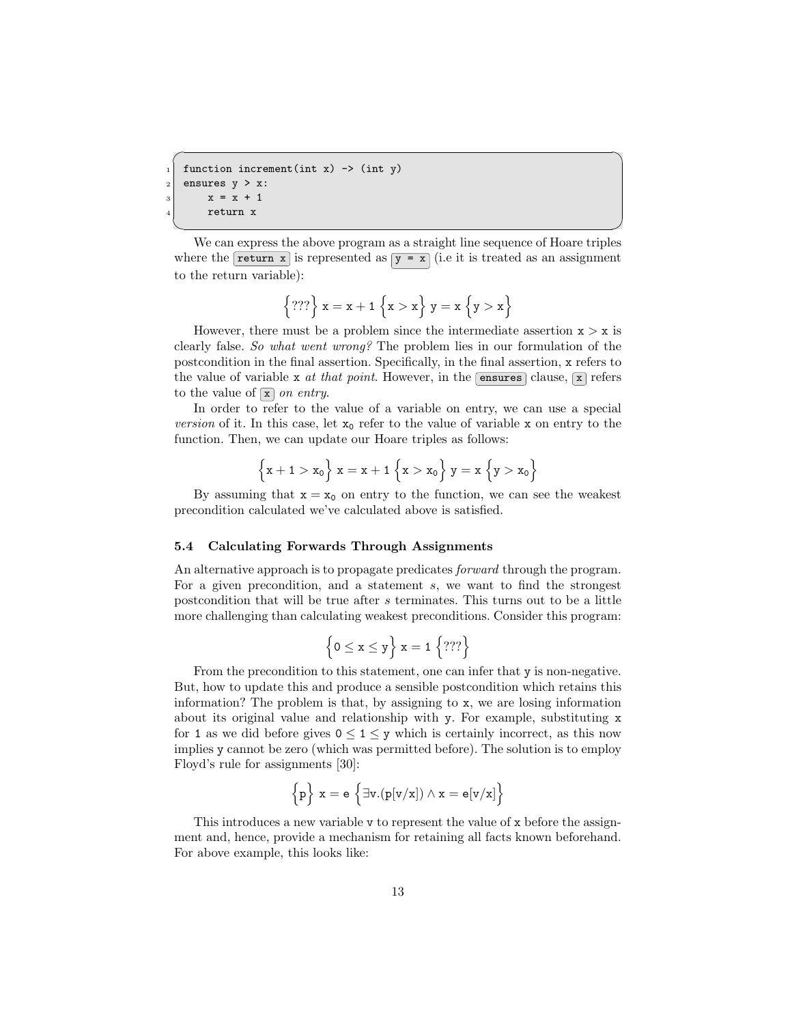function increment(int  $x$ ) -> (int y) ensures  $y > x$ :  $3 \times x = x + 1$ return x

We can express the above program as a straight line sequence of Hoare triples where the return x is represented as  $y = x$  (i.e it is treated as an assignment to the return variable):

✎ ☞

 $\overline{\phantom{a}}$ 

$$
\left\{ ? ? ? \right\} \, x=x+1 \, \left\{ x>x \right\} \, y=x \, \left\{ y>x \right\}
$$

However, there must be a problem since the intermediate assertion  $x > x$  is clearly false. So what went wrong? The problem lies in our formulation of the postcondition in the final assertion. Specifically, in the final assertion, x refers to the value of variable x at that point. However, in the ensures clause,  $\bar{x}$  refers to the value of  $\bar{x}$  on entry.

In order to refer to the value of a variable on entry, we can use a special *version* of it. In this case, let  $x_0$  refer to the value of variable x on entry to the function. Then, we can update our Hoare triples as follows:

$$
\Big\{x+1>x_0\Big\}\;x=x+1\,\Big\{x>x_0\Big\}\;y=x\,\Big\{y>x_0\Big\}
$$

By assuming that  $x = x_0$  on entry to the function, we can see the weakest precondition calculated we've calculated above is satisfied.

#### 5.4 Calculating Forwards Through Assignments

An alternative approach is to propagate predicates *forward* through the program. For a given precondition, and a statement s, we want to find the strongest postcondition that will be true after s terminates. This turns out to be a little more challenging than calculating weakest preconditions. Consider this program:

$$
\Big\{0\leq x\leq y\Big\}\ x=1\ \Big\{??\}\Big\}
$$

From the precondition to this statement, one can infer that y is non-negative. But, how to update this and produce a sensible postcondition which retains this information? The problem is that, by assigning to x, we are losing information about its original value and relationship with y. For example, substituting x for 1 as we did before gives  $0 \leq 1 \leq y$  which is certainly incorrect, as this now implies y cannot be zero (which was permitted before). The solution is to employ Floyd's rule for assignments [30]:

$$
\Big\{p\Big\}\ x = e\ \Big\{\exists v.(p[v/x]) \wedge x = e[v/x]\Big\}
$$

This introduces a new variable v to represent the value of x before the assignment and, hence, provide a mechanism for retaining all facts known beforehand. For above example, this looks like: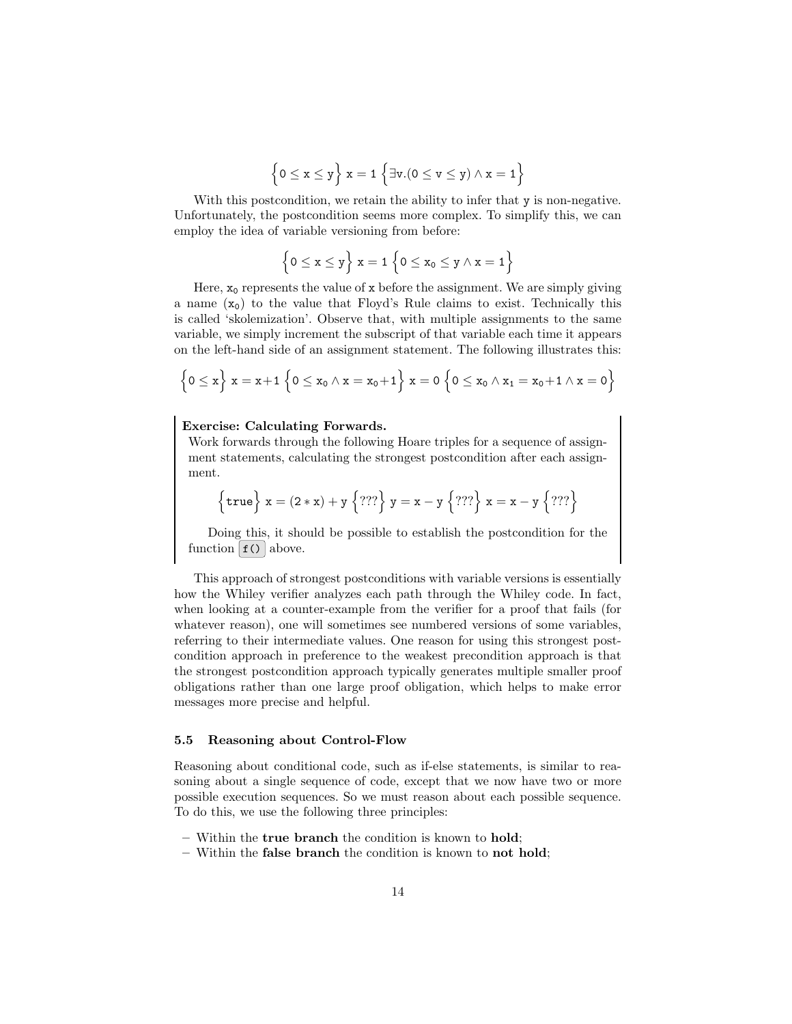$$
\Big\{0\leq x\leq y\Big\}\ x=1\ \Big\{\exists v.(0\leq v\leq y)\wedge x=1\Big\}
$$

With this postcondition, we retain the ability to infer that y is non-negative. Unfortunately, the postcondition seems more complex. To simplify this, we can employ the idea of variable versioning from before:

$$
\Big\{0\leq x\leq y\Big\}\ x=1\ \Big\{0\leq x_0\leq y\wedge x=1\Big\}
$$

Here,  $x_0$  represents the value of x before the assignment. We are simply giving a name  $(x_0)$  to the value that Floyd's Rule claims to exist. Technically this is called 'skolemization'. Observe that, with multiple assignments to the same variable, we simply increment the subscript of that variable each time it appears on the left-hand side of an assignment statement. The following illustrates this:

$$
\Big\{0\leq x\Big\}\ x=x+1\ \Big\{0\leq x_0\wedge x=x_0+1\Big\}\ x=0\ \Big\{0\leq x_0\wedge x_1=x_0+1\wedge x=0\Big\}
$$

### Exercise: Calculating Forwards.

Work forwards through the following Hoare triples for a sequence of assignment statements, calculating the strongest postcondition after each assignment.

$$
\left\{\mathtt{true}\right\}\,x = (2 * x) + y\left\{???\right\}\,y = x - y\left\{???\right\}\,x = x - y\left\{???\right\}
$$

Doing this, it should be possible to establish the postcondition for the function  $\vert f() \vert$  above.

This approach of strongest postconditions with variable versions is essentially how the Whiley verifier analyzes each path through the Whiley code. In fact, when looking at a counter-example from the verifier for a proof that fails (for whatever reason), one will sometimes see numbered versions of some variables, referring to their intermediate values. One reason for using this strongest postcondition approach in preference to the weakest precondition approach is that the strongest postcondition approach typically generates multiple smaller proof obligations rather than one large proof obligation, which helps to make error messages more precise and helpful.

#### 5.5 Reasoning about Control-Flow

Reasoning about conditional code, such as if-else statements, is similar to reasoning about a single sequence of code, except that we now have two or more possible execution sequences. So we must reason about each possible sequence. To do this, we use the following three principles:

- Within the true branch the condition is known to hold;
- Within the false branch the condition is known to not hold;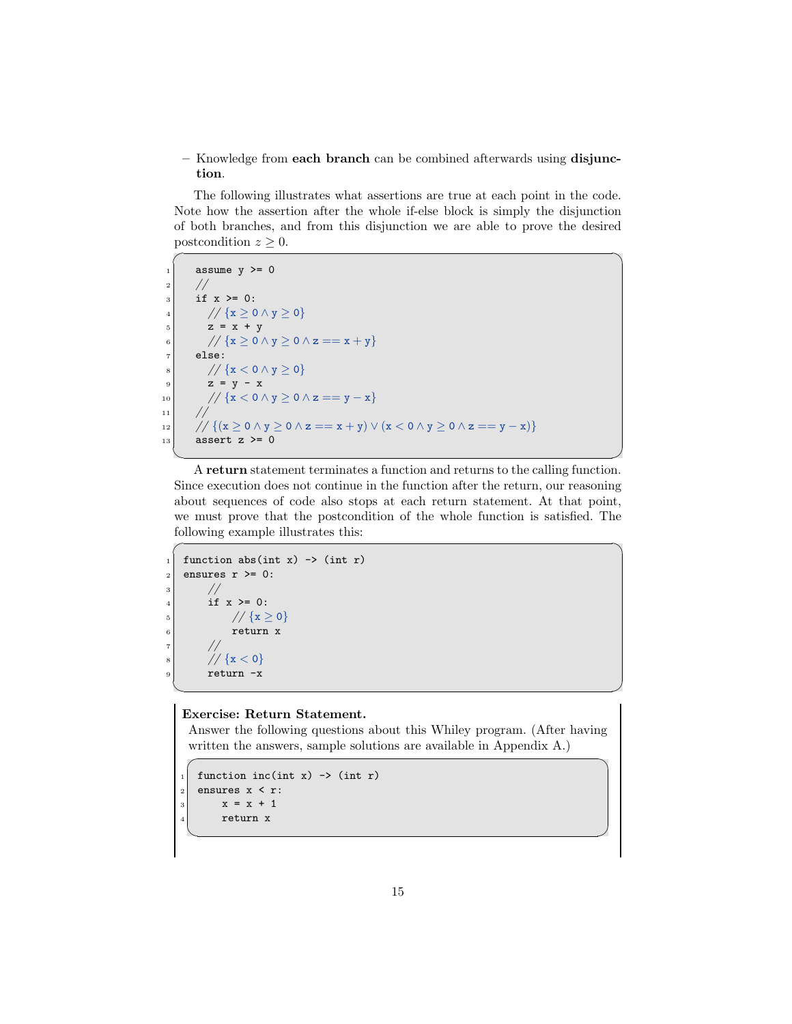– Knowledge from each branch can be combined afterwards using disjunction.

The following illustrates what assertions are true at each point in the code. Note how the assertion after the whole if-else block is simply the disjunction of both branches, and from this disjunction we are able to prove the desired  $\overline{a}$ postcondition  $z \geq 0$ .

assume  $y \ge 0$ 2 // if  $x \ge 0$ : //  ${x \ge 0 \land y \ge 0}$  $z = x + y$  $\frac{1}{x} \geq 0 \land y \geq 0 \land z == x + y$ else:  $// {x < 0 ∧ y ≥ 0}$  $z = y - x$ 10  $// {x < 0 \land y \ge 0 \land z == y - x}$  $11$ 12 //  $\{(x \ge 0 \land y \ge 0 \land z == x + y) \lor (x < 0 \land y \ge 0 \land z == y - x)\}$  $|13|$  assert z >= 0

 $\overline{\phantom{a}}$ A return statement terminates a function and returns to the calling function. Since execution does not continue in the function after the return, our reasoning about sequences of code also stops at each return statement. At that point, we must prove that the postcondition of the whole function is satisfied. The  $\sqrt{2}$ following example illustrates this:

```
function abs(int x) \rightarrow (int r)
2 ensures r >= 0:
       \frac{1}{2}if x \ge 0:
            // {x ≥ 0}return x
7 //
        // {x < 0}return -x
```
### Exercise: Return Statement.

 $\sqrt{2}$ 

Answer the following questions about this Whiley program. (After having written the answers, sample solutions are available in Appendix A.)

☞

```
function inc(int x) -> (int r)
|2| ensures x < r:
3 \times x = x + 1return x
\overline{\phantom{a}}
```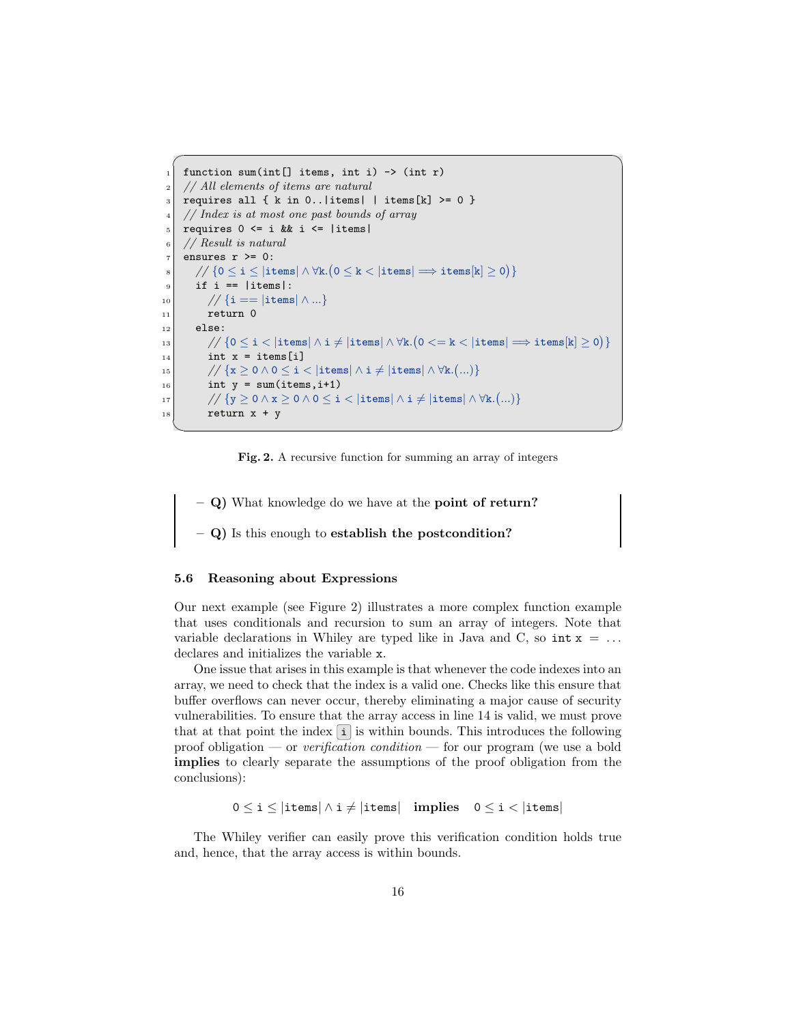function sum(int[] items, int i)  $\rightarrow$  (int r)  $2 /$  // All elements of items are natural requires all {  $k$  in  $0$ ..|items| | items[ $k$ ] >= 0 }  $// Index is at most one past bounds of array$ requires  $0 \leq i \& i \leq |\text{items}|$  $//$  Result is natural ensures  $r$  >= 0:  $\begin{equation} \begin{aligned} \text{s} \end{aligned} \end{equation} \begin{equation} \begin{aligned} \text{S} \leq \text{i} \leq |\text{items}| \wedge \forall \text{k}. \big(0 \leq \text{k} < |\text{items}| \Longrightarrow \text{items}[\text{k}] \geq 0 \big) \end{aligned} \end{equation}$  $9$  if i == |items|: 10  $//$  {i == |items|  $\wedge ...$ }  $_{11}$  return 0  $_{12}$  else:  $|13\rangle$  //  $\{0\le i<\left|\text{items}\right| \wedge 1\neq \left|\text{items}\right| \wedge \forall \text{k}. \big(0<=\text{k}<\left|\text{items}\right| \Longrightarrow \text{items}[\text{k}]\ge 0\big)\}$  $_{14}$  int x = items[i]  $_{15}$  //  $\{x\geq 0 \wedge 0 \leq i < |{\tt items}| \wedge i \neq |{\tt items}| \wedge \forall k. (...) \}$  $_{16}$  int y = sum(items, i+1)  $_{17}$  //  $\left\{ \mathrm{y}\geq0\wedge\mathrm{x}\geq0\wedge0\leq\mathrm{i}<\left|\mathrm{items}\right|\wedge\mathrm{i}\neq\left|\mathrm{items}\right|\wedge\forall\mathrm{k}.(...)\right\}$  $18$  return  $x + y$  $\overline{\phantom{a}}$ 

 $\sqrt{2}$ 

Fig. 2. A recursive function for summing an array of integers

– Q) What knowledge do we have at the point of return?

 $-$  Q) Is this enough to establish the postcondition?

#### 5.6 Reasoning about Expressions

Our next example (see Figure 2) illustrates a more complex function example that uses conditionals and recursion to sum an array of integers. Note that variable declarations in Whiley are typed like in Java and C, so  $int x = ...$ declares and initializes the variable x.

One issue that arises in this example is that whenever the code indexes into an array, we need to check that the index is a valid one. Checks like this ensure that buffer overflows can never occur, thereby eliminating a major cause of security vulnerabilities. To ensure that the array access in line 14 is valid, we must prove that at that point the index  $\boxed{\mathbf{i}}$  is within bounds. This introduces the following proof obligation — or *verification condition* — for our program (we use a bold implies to clearly separate the assumptions of the proof obligation from the conclusions):

 $0 \le i \le |\text{items}| \land i \ne |\text{items}|$  implies  $0 \le i < |\text{items}|$ 

The Whiley verifier can easily prove this verification condition holds true and, hence, that the array access is within bounds.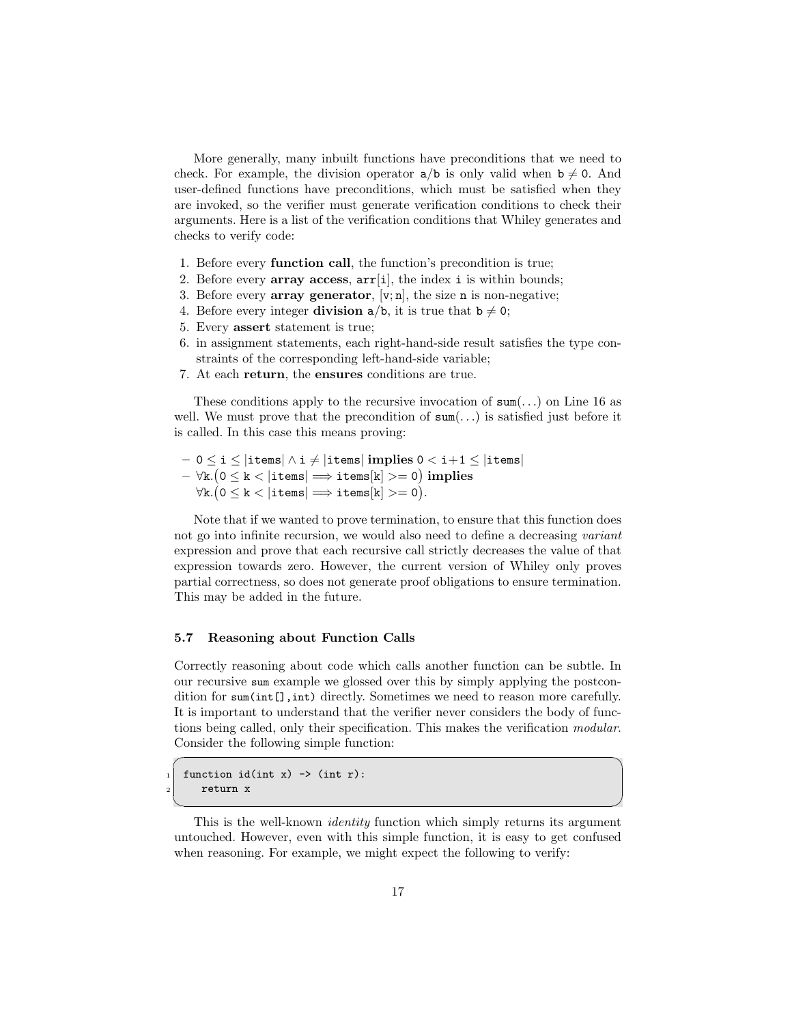More generally, many inbuilt functions have preconditions that we need to check. For example, the division operator  $a/b$  is only valid when  $b \neq 0$ . And user-defined functions have preconditions, which must be satisfied when they are invoked, so the verifier must generate verification conditions to check their arguments. Here is a list of the verification conditions that Whiley generates and checks to verify code:

- 1. Before every function call, the function's precondition is true;
- 2. Before every **array access**,  $\text{arr}[i]$ , the index i is within bounds;
- 3. Before every **array generator**,  $[v; n]$ , the size **n** is non-negative;
- 4. Before every integer **division**  $a/b$ , it is true that  $b \neq 0$ ;
- 5. Every assert statement is true;
- 6. in assignment statements, each right-hand-side result satisfies the type constraints of the corresponding left-hand-side variable;
- 7. At each return, the ensures conditions are true.

These conditions apply to the recursive invocation of  $\text{sum}(\ldots)$  on Line 16 as well. We must prove that the precondition of  $\text{sum}(\ldots)$  is satisfied just before it is called. In this case this means proving:

 $-$  0  $\leq$  i  $\leq$  |items|  $\land$  i  $\neq$  |items| implies 0  $<$  i+1  $\leq$  |items|  $\forall$ k. $(0 \leq$  k  $<$   $|\texttt{items}| \Longrightarrow \texttt{items}[k] >= 0)$  implies  $\forall k. (0 \leq k < |{\tt items}| \Longrightarrow {\tt items}[k] >= 0).$ 

Note that if we wanted to prove termination, to ensure that this function does not go into infinite recursion, we would also need to define a decreasing *variant* expression and prove that each recursive call strictly decreases the value of that expression towards zero. However, the current version of Whiley only proves partial correctness, so does not generate proof obligations to ensure termination. This may be added in the future.

### 5.7 Reasoning about Function Calls

Correctly reasoning about code which calls another function can be subtle. In our recursive sum example we glossed over this by simply applying the postcondition for sum(int[],int) directly. Sometimes we need to reason more carefully. It is important to understand that the verifier never considers the body of functions being called, only their specification. This makes the verification modular. Consider the following simple function:

 $\sqrt{2}$ 

 $\overline{\phantom{a}}$ 

function id(int  $x$ ) -> (int r): return x

This is the well-known identity function which simply returns its argument untouched. However, even with this simple function, it is easy to get confused when reasoning. For example, we might expect the following to verify: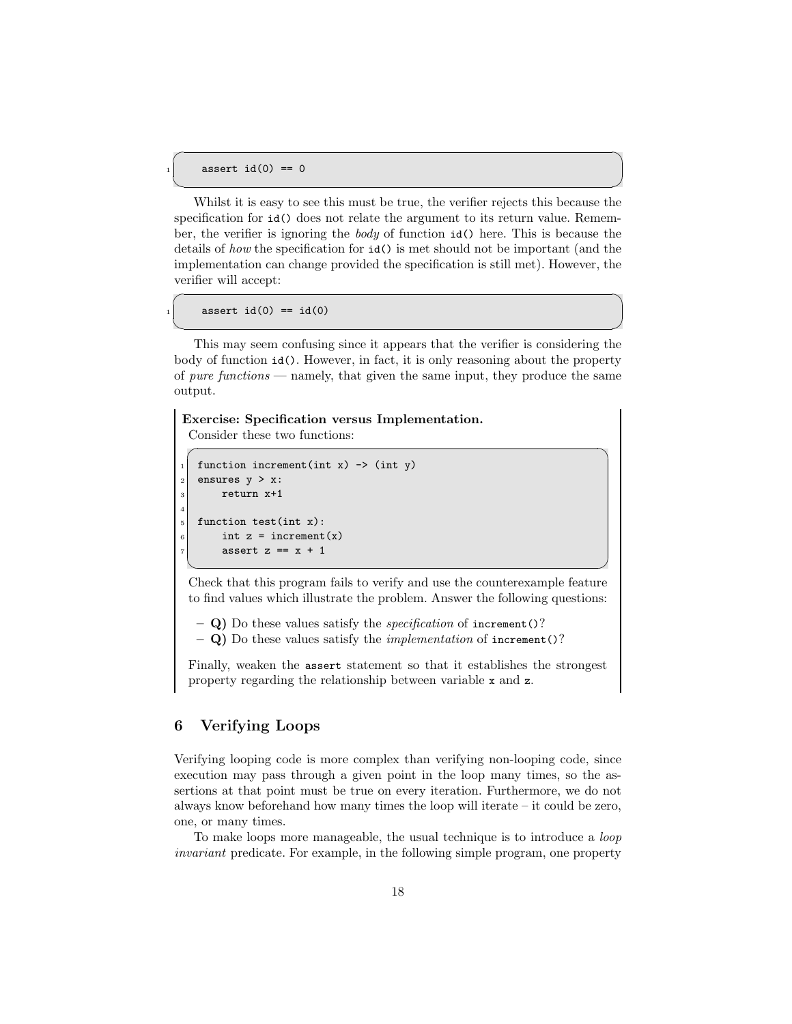assert  $id(0) == 0$ 

Whilst it is easy to see this must be true, the verifier rejects this because the specification for id() does not relate the argument to its return value. Remember, the verifier is ignoring the body of function id() here. This is because the details of how the specification for id() is met should not be important (and the implementation can change provided the specification is still met). However, the verifier will accept:

 $\overline{\phantom{a}}$ 

 $\overline{\phantom{a}}$ 

☞

✎ ☞

 $\overline{\phantom{a}}$ 

assert  $id(0) == id(0)$ 

This may seem confusing since it appears that the verifier is considering the body of function id(). However, in fact, it is only reasoning about the property of pure functions — namely, that given the same input, they produce the same output.

Exercise: Specification versus Implementation.

Consider these two functions:

 $\sqrt{2}$ 

```
function increment(int x) \rightarrow (int y)
  ensures y > x:
       return x+1
4
  function test(int x):
       int z = increment(x)assert z == x + 1
```
Check that this program fails to verify and use the counterexample feature to find values which illustrate the problem. Answer the following questions:

 $\overline{\phantom{a}}$ 

- $Q$ ) Do these values satisfy the *specification* of increment()?
- $Q$ ) Do these values satisfy the *implementation* of increment()?

Finally, weaken the assert statement so that it establishes the strongest property regarding the relationship between variable x and z.

# 6 Verifying Loops

Verifying looping code is more complex than verifying non-looping code, since execution may pass through a given point in the loop many times, so the assertions at that point must be true on every iteration. Furthermore, we do not always know beforehand how many times the loop will iterate – it could be zero, one, or many times.

To make loops more manageable, the usual technique is to introduce a loop invariant predicate. For example, in the following simple program, one property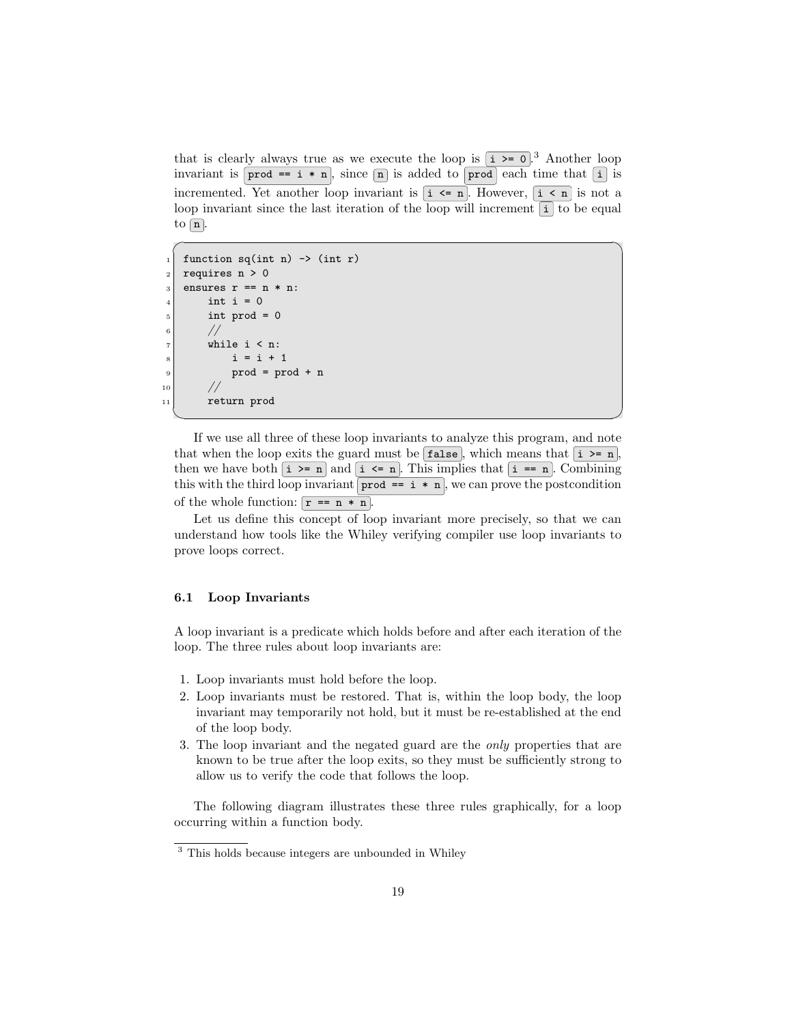that is clearly always true as we execute the loop is  $\boxed{i \geq 0}$ .<sup>3</sup> Another loop invariant is  $\boxed{\text{prod} = i * n}$ , since  $\boxed{n}$  is added to  $\boxed{\text{prod}}$  each time that  $\boxed{i}$  is incremented. Yet another loop invariant is  $\boxed{i \leq n}$ . However,  $\boxed{i \leq n}$  is not a loop invariant since the last iteration of the loop will increment  $\mathbf{i}$  to be equal to  $\boxed{\mathbf{n}}$ .

 $\sqrt{2}$ 

```
function sq(int n) \rightarrow (int r)
_2 requires n > 0
3 ensures r == n * n:
       int i = 0int prod = 0\frac{1}{2}while i < n:
            i = i + 19 \mid prod = prod + n
10 //
11 return prod
```
If we use all three of these loop invariants to analyze this program, and note that when the loop exits the guard must be false, which means that  $\begin{bmatrix} i >= n \\ 1 & \end{bmatrix}$ then we have both  $i \ge n$  and  $i \le n$ . This implies that  $i = n$ . Combining this with the third loop invariant  $\boxed{\text{prod} = i * n}$ , we can prove the postcondition of the whole function:  $r = n * n$ .

 $\overline{\phantom{a}}$ 

Let us define this concept of loop invariant more precisely, so that we can understand how tools like the Whiley verifying compiler use loop invariants to prove loops correct.

#### 6.1 Loop Invariants

A loop invariant is a predicate which holds before and after each iteration of the loop. The three rules about loop invariants are:

- 1. Loop invariants must hold before the loop.
- 2. Loop invariants must be restored. That is, within the loop body, the loop invariant may temporarily not hold, but it must be re-established at the end of the loop body.
- 3. The loop invariant and the negated guard are the only properties that are known to be true after the loop exits, so they must be sufficiently strong to allow us to verify the code that follows the loop.

The following diagram illustrates these three rules graphically, for a loop occurring within a function body.

<sup>3</sup> This holds because integers are unbounded in Whiley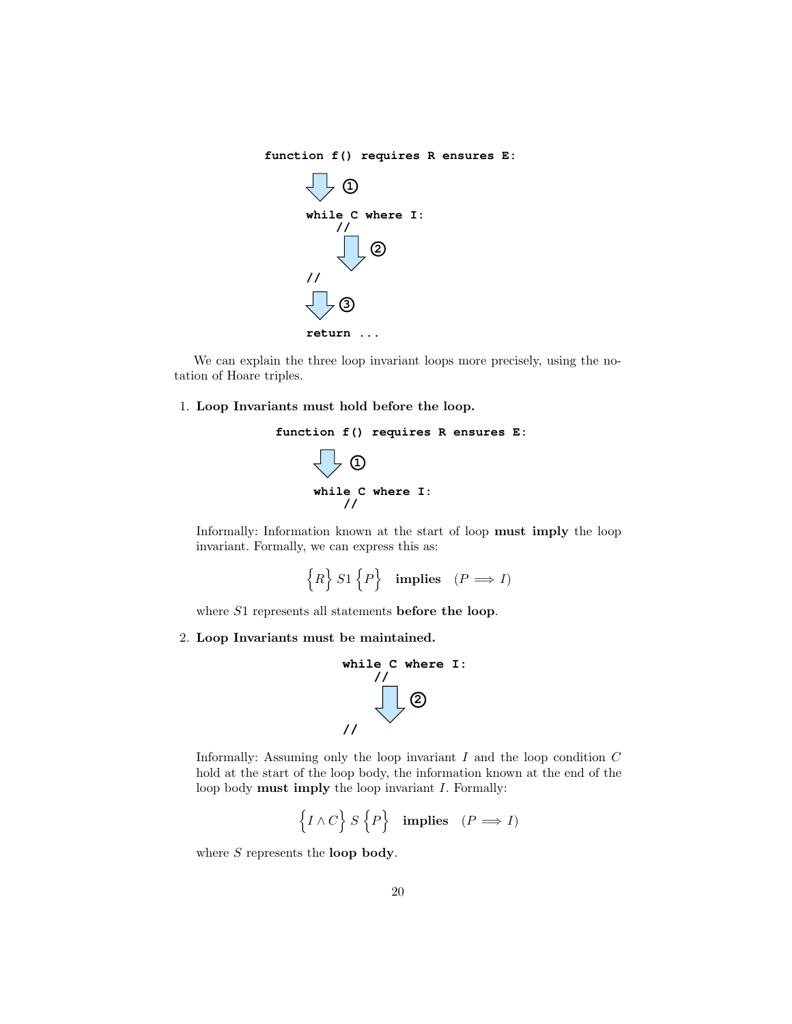**function f() requires R ensures E:**



We can explain the three loop invariant loops more precisely, using the notation of Hoare triples.

1. Loop Invariants must hold before the loop.

```
function f() requires R ensures E:
          1
     while C where I:
      //
```
Informally: Information known at the start of loop must imply the loop invariant. Formally, we can express this as:

$$
\left\{R\right\} S1 \left\{P\right\} \text{ implies } (P \Longrightarrow I)
$$

where  $S1$  represents all statements **before the loop**.

2. Loop Invariants must be maintained.



Informally: Assuming only the loop invariant  $I$  and the loop condition  $C$ hold at the start of the loop body, the information known at the end of the loop body **must imply** the loop invariant  $I$ . Formally:

$$
\left\{ I \wedge C \right\} S \left\{ P \right\} \text{ implies } (P \Longrightarrow I)
$$

where  $S$  represents the loop body.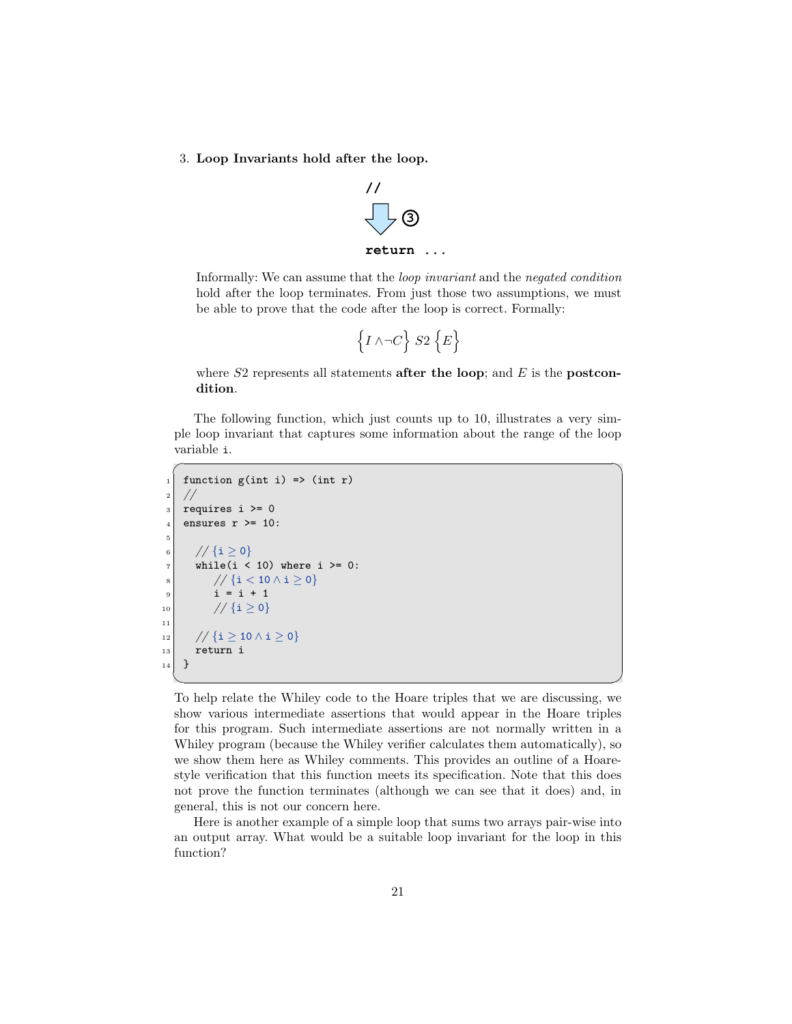3. Loop Invariants hold after the loop.



Informally: We can assume that the loop invariant and the negated condition hold after the loop terminates. From just those two assumptions, we must be able to prove that the code after the loop is correct. Formally:

$$
\Big\{ I \wedge \neg C \Big\} \ S2 \ \Big\{ E \Big\}
$$

where  $S2$  represents all statements **after the loop**; and  $E$  is the **postcon**dition.

The following function, which just counts up to 10, illustrates a very simple loop invariant that captures some information about the range of the loop variable i.

 $\sqrt{2}$ 

```
function g(int i) \Rightarrow (int r)2 //
3 requires i >= 0ensures r >= 10:
 5
     // {i ≥ 0}7 while(i < 10) where i >= 0:
|8| // {i < 10 ∧ i ≥ 0}
9 i = i + 1
10 // {i \ge 0}11
12 // \{i \geq 10 \wedge i \geq 0\}13 return i
14 }
```
To help relate the Whiley code to the Hoare triples that we are discussing, we show various intermediate assertions that would appear in the Hoare triples for this program. Such intermediate assertions are not normally written in a Whiley program (because the Whiley verifier calculates them automatically), so we show them here as Whiley comments. This provides an outline of a Hoarestyle verification that this function meets its specification. Note that this does not prove the function terminates (although we can see that it does) and, in general, this is not our concern here.

 $\overline{\phantom{a}}$ 

Here is another example of a simple loop that sums two arrays pair-wise into an output array. What would be a suitable loop invariant for the loop in this function?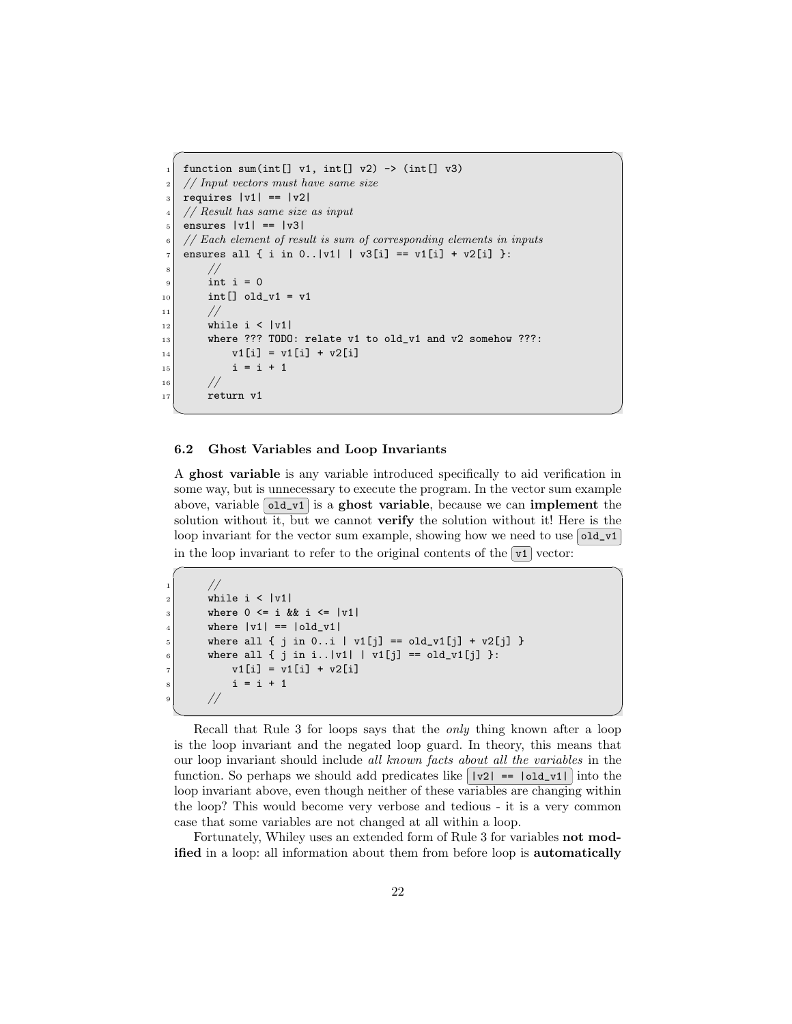function sum(int[] v1, int[] v2)  $\rightarrow$  (int[] v3)  $2 /$  Input vectors must have same size requires  $|v1| == |v2|$  $//$  Result has same size as input ensures  $|v1| == |v3|$  $6$  // Each element of result is sum of corresponding elements in inputs ensures all { i in  $0.$ .|v1| | v3[i] == v1[i] + v2[i] }: <sup>8</sup> // int  $i = 0$  $_{10}$  int[] old\_v1 = v1  $|11|$  //  $|12|$  while i <  $|v1|$ 13 where ??? TODO: relate v1 to old\_v1 and v2 somehow ???:  $v1[i] = v1[i] + v2[i]$  $15$  i = i + 1  $16$  //  $17$  return v1  $\overline{\phantom{a}}$ 

✎ ☞

### 6.2 Ghost Variables and Loop Invariants

A ghost variable is any variable introduced specifically to aid verification in some way, but is unnecessary to execute the program. In the vector sum example above, variable  $\lceil \text{old}_\nu \cdot \mathbf{1} \rceil$  is a ghost variable, because we can implement the solution without it, but we cannot verify the solution without it! Here is the loop invariant for the vector sum example, showing how we need to use  $\delta u \cdot \mathbf{u}$ in the loop invariant to refer to the original contents of the  $\boxed{v1}$  vector:

 $\overline{\phantom{a}}$ 

```
1 //
while i < |v1|where 0 \leq i & i \leq |v1|where |v1| == |old_v1|where all { j in 0..i | v1[j] == old_v1[j] + v2[j] }
where all { j in i..|v1| | v1[j] == old_v1[j] }:
    v1[i] = v1[i] + v2[i]i = i + 19 //
```
Recall that Rule 3 for loops says that the only thing known after a loop is the loop invariant and the negated loop guard. In theory, this means that our loop invariant should include all known facts about all the variables in the function. So perhaps we should add predicates like  $|\nvert v^2| = |\text{old_v1}|$  into the loop invariant above, even though neither of these variables are changing within the loop? This would become very verbose and tedious - it is a very common case that some variables are not changed at all within a loop.

 $\overline{\phantom{a}}$ 

Fortunately, Whiley uses an extended form of Rule 3 for variables not modified in a loop: all information about them from before loop is **automatically**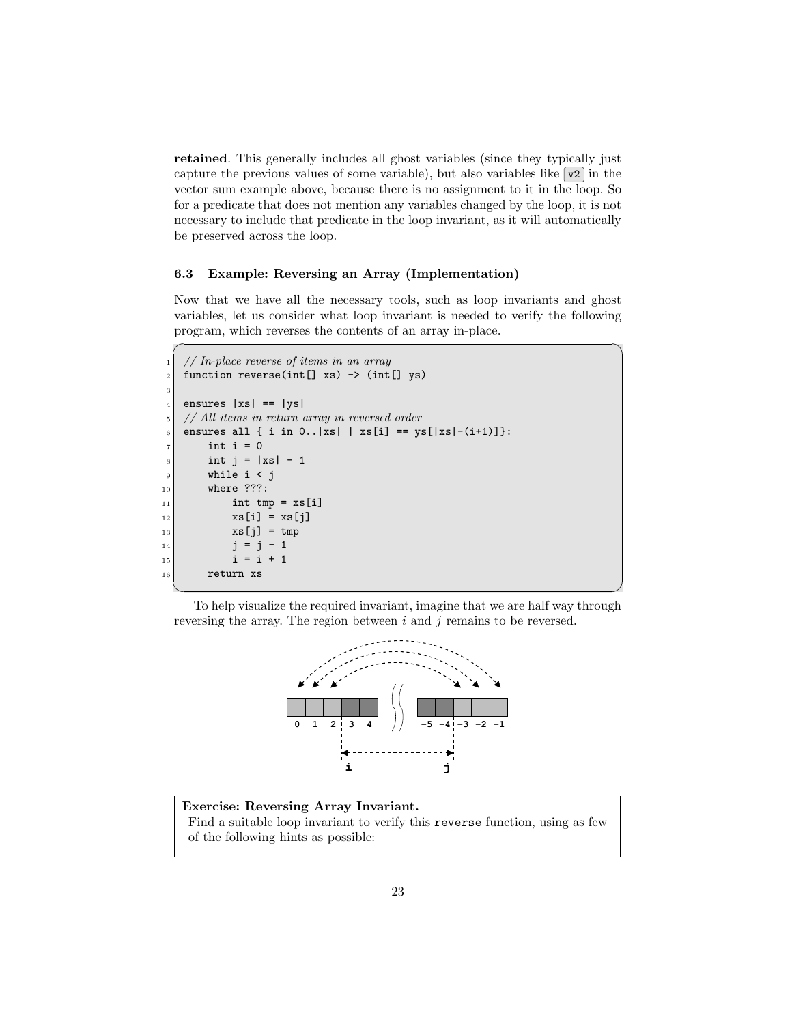retained. This generally includes all ghost variables (since they typically just capture the previous values of some variable), but also variables like  $\nu$ 2 in the vector sum example above, because there is no assignment to it in the loop. So for a predicate that does not mention any variables changed by the loop, it is not necessary to include that predicate in the loop invariant, as it will automatically be preserved across the loop.

### 6.3 Example: Reversing an Array (Implementation)

Now that we have all the necessary tools, such as loop invariants and ghost variables, let us consider what loop invariant is needed to verify the following  $\sqrt{2}$ program, which reverses the contents of an array in-place.

☞

```
1 / In-place reverse of items in an array
2 function reverse(int[] xs) -> (int[] ys)
3
   ensures |xs| == |ys|5 // All items in return array in reversed order
   ensures all { i in 0..|xs| | xs[i] == ys[|xs|-(i+1)]}:
        int i = 0int j = |xs| - 1
9 while i < j
10 where ???:
11 int tmp = xs[i]\begin{array}{c|c}\n 12 & \text{xs}[i] = xs[j]\n \end{array}\begin{array}{c|c}\n 13 & \times \n \end{array} xs[j] = tmp
14 j = j - 1
15 i = i + 1
16 return xs
```
To help visualize the required invariant, imagine that we are half way through reversing the array. The region between  $i$  and  $j$  remains to be reversed.

 $\triangle$ 



# Exercise: Reversing Array Invariant. Find a suitable loop invariant to verify this reverse function, using as few of the following hints as possible: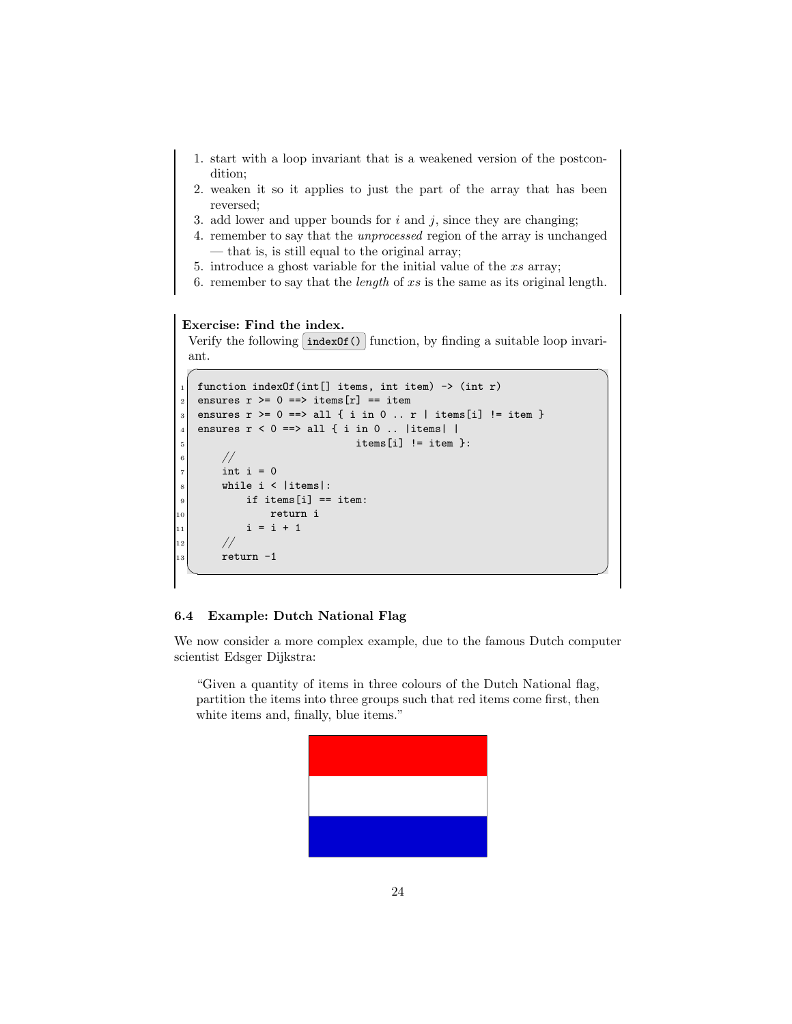- 1. start with a loop invariant that is a weakened version of the postcondition;
- 2. weaken it so it applies to just the part of the array that has been reversed;
- 3. add lower and upper bounds for  $i$  and  $j$ , since they are changing;
- 4. remember to say that the unprocessed region of the array is unchanged — that is, is still equal to the original array;
- 5. introduce a ghost variable for the initial value of the xs array;
- 6. remember to say that the *length* of  $xs$  is the same as its original length.

Exercise: Find the index.

 $\sqrt{2}$ 

Verify the following index $\sigma f()$  function, by finding a suitable loop invariant.

☞

```
function index0f(int[] items, int item) -> (int r)
|2| ensures r >= 0 ==> items[r] == item
3 ensures r >= 0 ==> all { i in 0 .. r | items[i] != item }
  ensures r < 0 ==> all { i in 0 .. |items| |
                        items[i] != item }:
      \frac{1}{2}int i = 0while i < |items|:
9 if items[i] == item:
_{10} return i
11 i = i + 1
\frac{1}{2} //
_{13} return -1
 \overline{\phantom{a}}
```
#### 6.4 Example: Dutch National Flag

We now consider a more complex example, due to the famous Dutch computer scientist Edsger Dijkstra:

"Given a quantity of items in three colours of the Dutch National flag, partition the items into three groups such that red items come first, then white items and, finally, blue items."

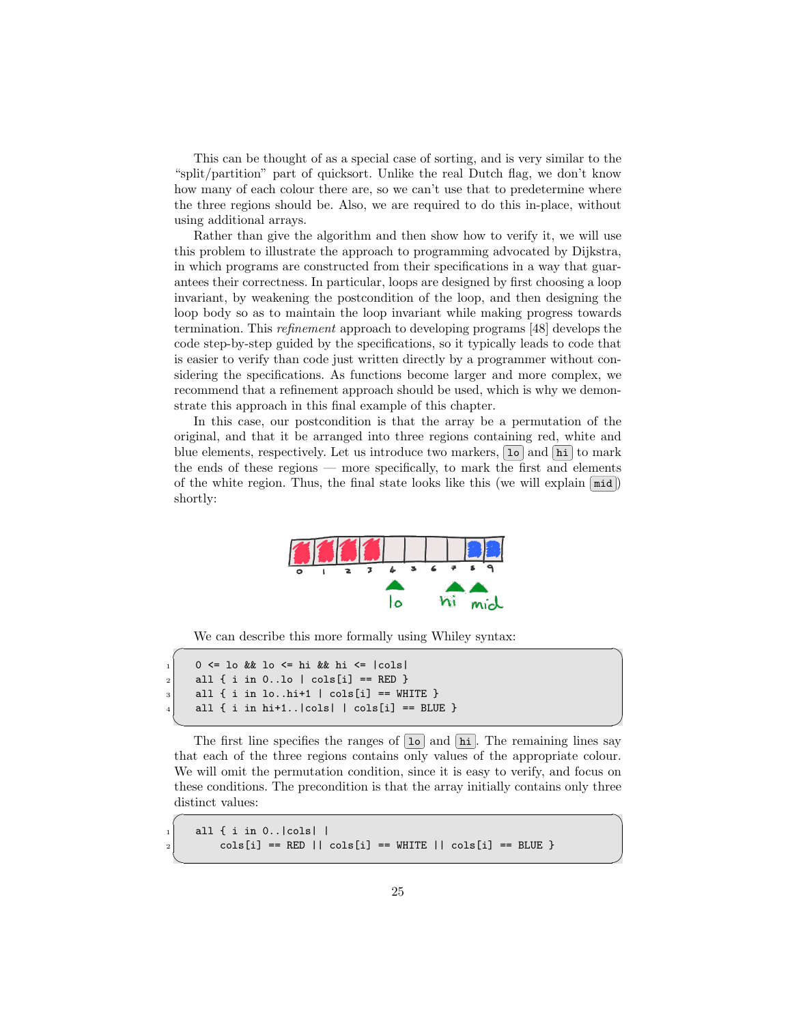This can be thought of as a special case of sorting, and is very similar to the "split/partition" part of quicksort. Unlike the real Dutch flag, we don't know how many of each colour there are, so we can't use that to predetermine where the three regions should be. Also, we are required to do this in-place, without using additional arrays.

Rather than give the algorithm and then show how to verify it, we will use this problem to illustrate the approach to programming advocated by Dijkstra, in which programs are constructed from their specifications in a way that guarantees their correctness. In particular, loops are designed by first choosing a loop invariant, by weakening the postcondition of the loop, and then designing the loop body so as to maintain the loop invariant while making progress towards termination. This refinement approach to developing programs [48] develops the code step-by-step guided by the specifications, so it typically leads to code that is easier to verify than code just written directly by a programmer without considering the specifications. As functions become larger and more complex, we recommend that a refinement approach should be used, which is why we demonstrate this approach in this final example of this chapter.

In this case, our postcondition is that the array be a permutation of the original, and that it be arranged into three regions containing red, white and blue elements, respectively. Let us introduce two markers, lo and hi to mark the ends of these regions — more specifically, to mark the first and elements of the white region. Thus, the final state looks like this (we will explain  $\lceil \overline{mid} \rceil$ ) shortly:



☞

☞

 $\sqrt{2}$ We can describe this more formally using Whiley syntax:

```
0 \leq 10 && lo \leq hi && hi \leq |cols|
_2 all { i in 0..lo | cols[i] == RED }
3 all { i in lo..hi+1 | cols[i] == WHITE }
     all \{ i \text{ in hi+1.} |\text{cols}| | \text{cols}[i] == \text{BLE } \}
```
 $\sqrt{2}$ 

The first line specifies the ranges of  $\lceil \log \rceil$  and  $\lceil \ln \rceil$ . The remaining lines say that each of the three regions contains only values of the appropriate colour. We will omit the permutation condition, since it is easy to verify, and focus on these conditions. The precondition is that the array initially contains only three distinct values:

 $\overline{\phantom{a}}$ 

<sup>1</sup> all { i in 0..|cols| |  $\cosh[i]$  == RED ||  $\cosh[i]$  == WHITE ||  $\cosh[i]$  == BLUE }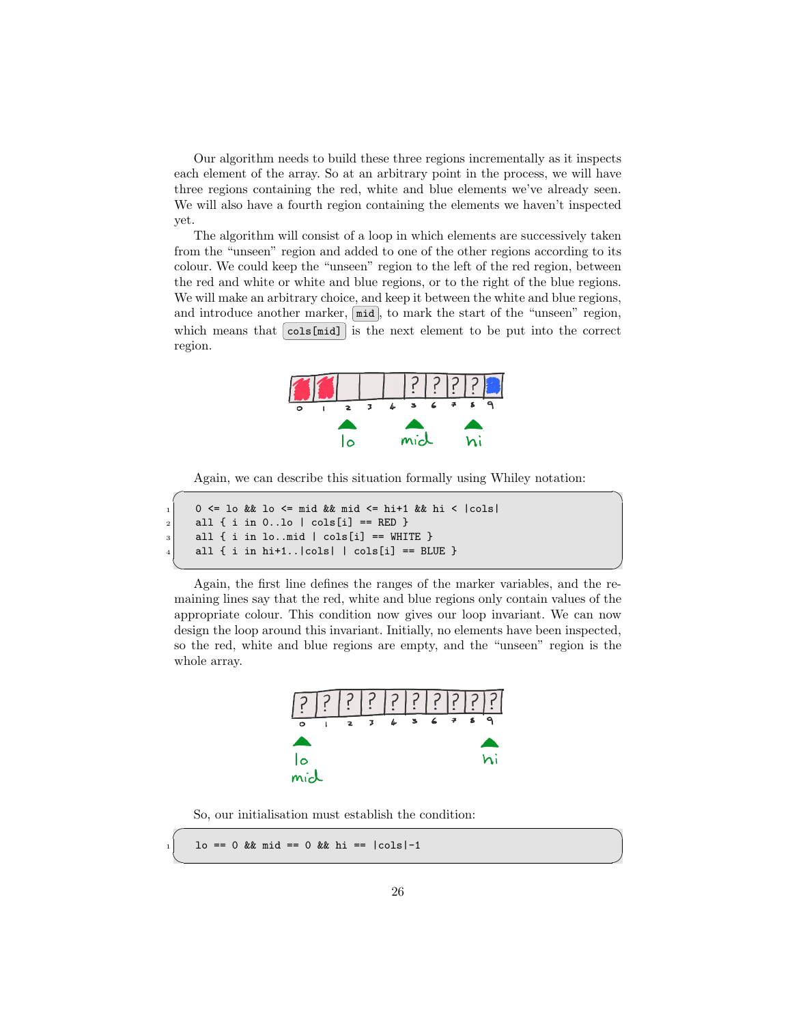Our algorithm needs to build these three regions incrementally as it inspects each element of the array. So at an arbitrary point in the process, we will have three regions containing the red, white and blue elements we've already seen. We will also have a fourth region containing the elements we haven't inspected yet.

The algorithm will consist of a loop in which elements are successively taken from the "unseen" region and added to one of the other regions according to its colour. We could keep the "unseen" region to the left of the red region, between the red and white or white and blue regions, or to the right of the blue regions. We will make an arbitrary choice, and keep it between the white and blue regions, and introduce another marker,  $\boxed{\text{mid}}$ , to mark the start of the "unseen" region, which means that  $\cosh[\text{mid}]$  is the next element to be put into the correct region.



Again, we can describe this situation formally using Whiley notation:

```
0 \leq 10 && lo \leq mid && mid \leq hi+1 && hi \leq |cols|
all { i in 0..lo | cols[i] == RED }
all { i in lo..mid | \text{cols}[i] == \text{WHITE} }
all \{ i \text{ in hi+1.} |\text{cols}| | \text{cols}[i] == \text{BLE } \}
```
 $\sqrt{2}$ 

 $\sqrt{2}$ 

Again, the first line defines the ranges of the marker variables, and the remaining lines say that the red, white and blue regions only contain values of the appropriate colour. This condition now gives our loop invariant. We can now design the loop around this invariant. Initially, no elements have been inspected, so the red, white and blue regions are empty, and the "unseen" region is the whole array.

 $\overline{\phantom{a}}$ 



So, our initialisation must establish the condition:

 $10 == 0$  && mid == 0 && hi ==  $|cols|$ -1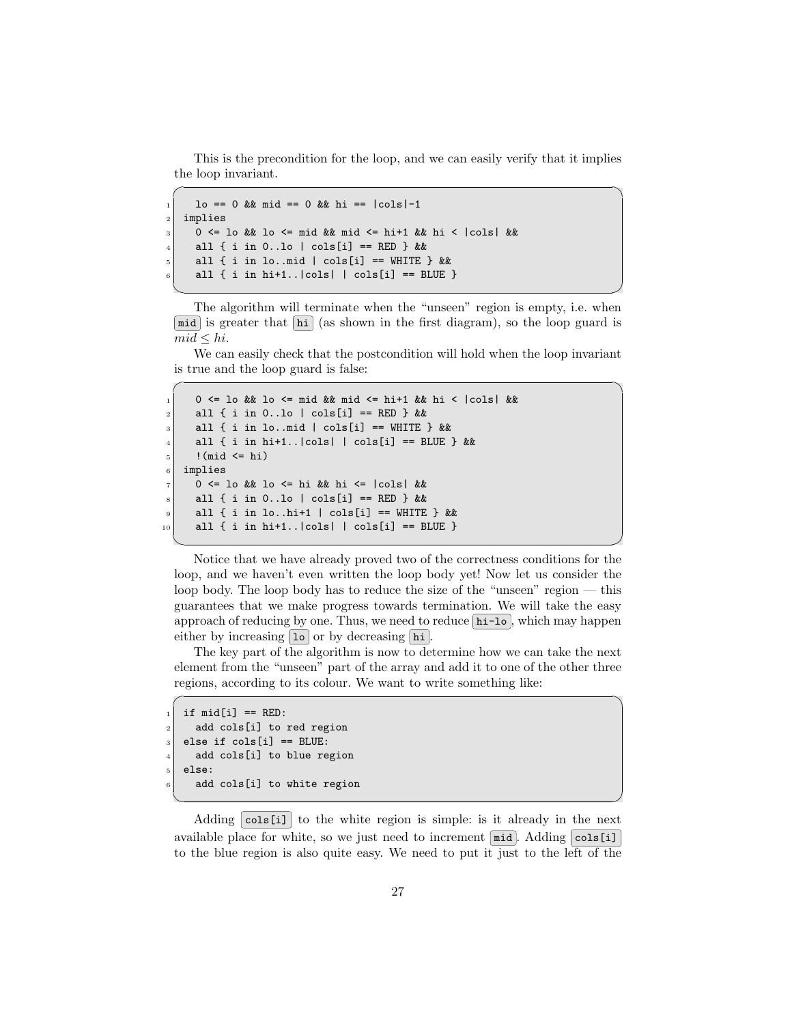This is the precondition for the loop, and we can easily verify that it implies the loop invariant.

```
10 == 0 && mid == 0 && hi == |cols| - 1implies
3 0 <= lo && lo <= mid && mid <= hi+1 && hi < |cols| &&
     all { i in 0..lo | cols[i] == RED } &&
     all { i in lo..mid | cols[i] == \texttt{WHITE} } &&
     all \{ i \text{ in hi+1.} |\text{cols}| | \text{cols}[i] == \text{BLE } \}
```
 $\sqrt{2}$ 

 $\sqrt{2}$ 

 $\sqrt{2}$ 

The algorithm will terminate when the "unseen" region is empty, i.e. when  $\boxed{\text{mid}}$  is greater that  $\boxed{\text{hi}}$  (as shown in the first diagram), so the loop guard is  $mid < hi$ .

 $\overline{\phantom{a}}$ 

We can easily check that the postcondition will hold when the loop invariant is true and the loop guard is false:

```
0 \le lo && lo \le mid && mid \le hi+1 && hi \le |cols| &&
     all { i in 0..lo | cols[i] == RED } &&
     all { i in lo..mid | \text{cols}[i] == \text{WHITE} } &&
     all { i in hi+1..|cols| | cols[i] == BLUE } &&
      !(mid \le hi)
6 implies
     0 \leq 10 && lo \leq hi && hi \leq |cols| &&
     8 all { i in 0..lo | cols[i] == RED } &&
9 all { i in lo..hi+1 | cols[i] == WHITE } &&
10 all { i in hi+1..|cols| | cols[i] == BLUE }
```
Notice that we have already proved two of the correctness conditions for the loop, and we haven't even written the loop body yet! Now let us consider the loop body. The loop body has to reduce the size of the "unseen" region — this guarantees that we make progress towards termination. We will take the easy approach of reducing by one. Thus, we need to reduce  $|\mathbf{hi}-\mathbf{lo}|$ , which may happen either by increasing  $\lfloor \log \sqrt{b} \rfloor$  or by decreasing  $\lfloor \log \sqrt{b} \rfloor$ .

 $\overline{\phantom{a}}$ 

The key part of the algorithm is now to determine how we can take the next element from the "unseen" part of the array and add it to one of the other three regions, according to its colour. We want to write something like:

☞

```
if mid[i] == RED:add cols[i] to red region
else if cols[i] == BLUE:add cols[i] to blue region
else:
  add cols[i] to white region
```
Adding cols[i] to the white region is simple: is it already in the next available place for white, so we just need to increment  $\lceil \text{mid} \rceil$ . Adding  $\lceil \text{cols[i]} \rceil$ to the blue region is also quite easy. We need to put it just to the left of the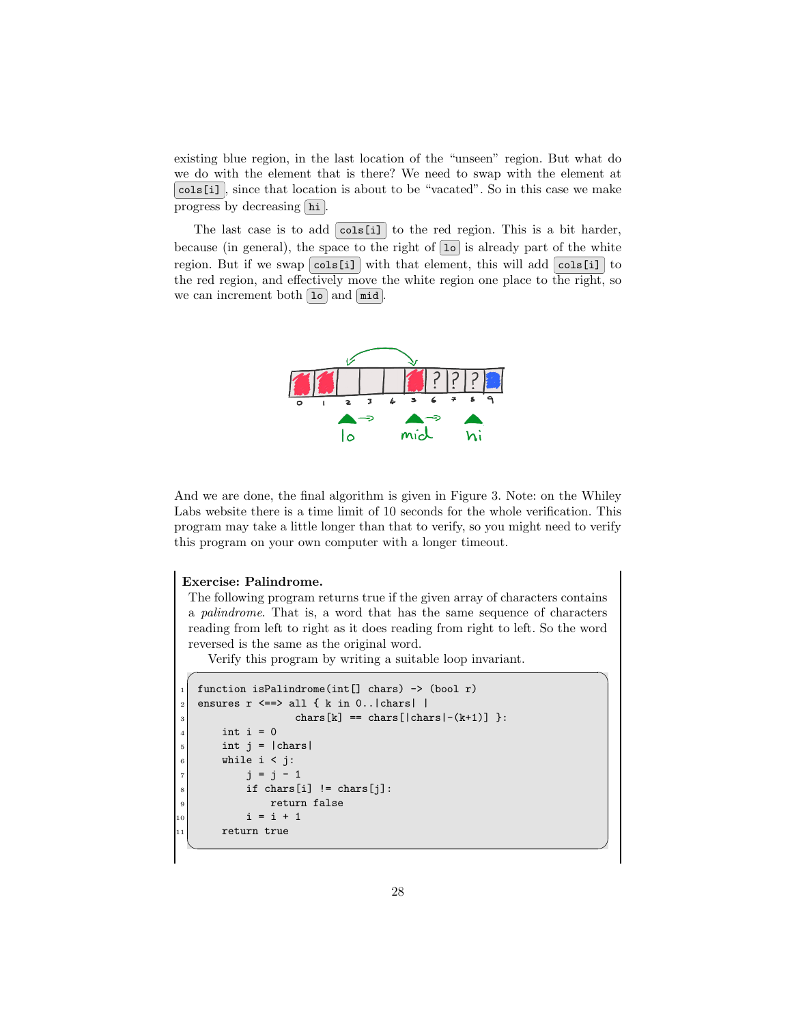existing blue region, in the last location of the "unseen" region. But what do we do with the element that is there? We need to swap with the element at cols[i] , since that location is about to be "vacated". So in this case we make progress by decreasing  $\boxed{\text{hi}}$ .

The last case is to add  $\boxed{\text{cols[i]} }$  to the red region. This is a bit harder, because (in general), the space to the right of  $\overline{10}$  is already part of the white region. But if we swap  $[\cosh[i]]$  with that element, this will add  $[\cosh[i]]$  to the red region, and effectively move the white region one place to the right, so we can increment both  $\lceil \log n \rceil$  and  $\lceil \min \rceil$ .



And we are done, the final algorithm is given in Figure 3. Note: on the Whiley Labs website there is a time limit of 10 seconds for the whole verification. This program may take a little longer than that to verify, so you might need to verify this program on your own computer with a longer timeout.

#### Exercise: Palindrome.

The following program returns true if the given array of characters contains a palindrome. That is, a word that has the same sequence of characters reading from left to right as it does reading from right to left. So the word reversed is the same as the original word.

☞

 $\sqrt{2}$ Verify this program by writing a suitable loop invariant.

```
function isPalindrome(int[] chars) \rightarrow (bool r)
_2 ensures r <==> all { k in 0.. | chars | |
3 chars[k] == chars[|chars|-(k+1)] }:
       int i = 0int j = |chars|while i < j:
           j = j - 1if \text{chars}[i] != \text{chars}[j]:return false
_{10} i = i + 1
       return true
```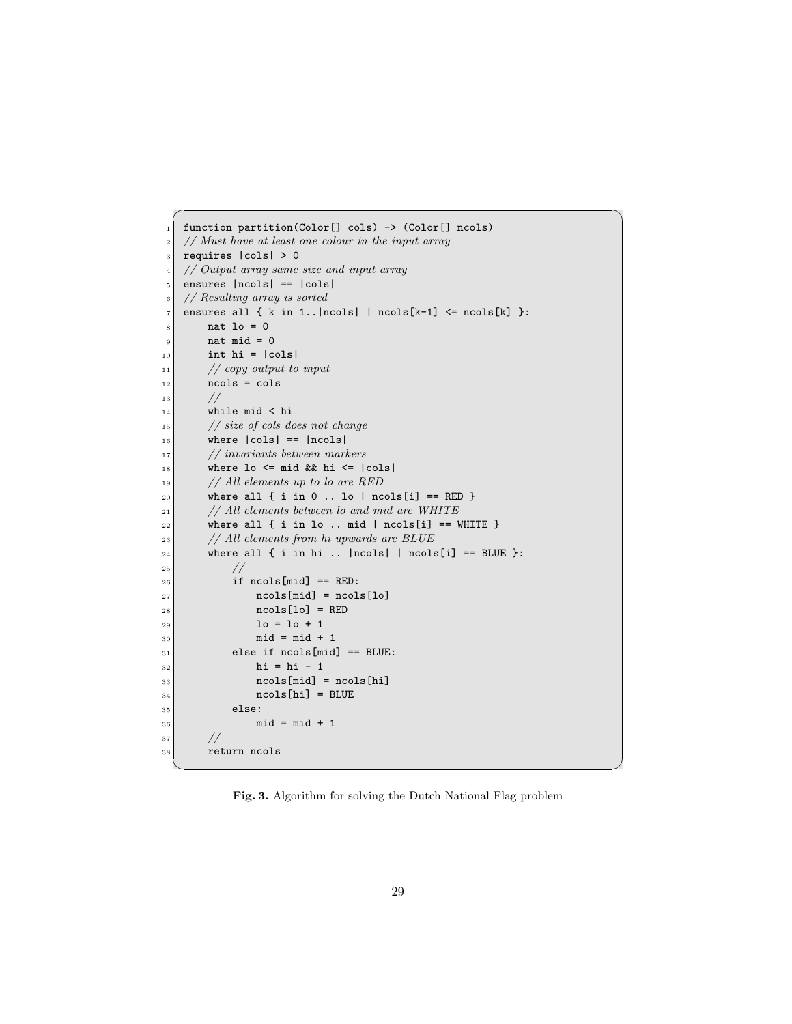```
✎ ☞
  function partition(Color[] cols) -> (Color[] ncols)
2 \mid // Must have at least one colour in the input array
3 requires |cols| > 01/ Output array same size and input array
  ensures |ncols| == |cols|6 // Resulting array is sorted
  ensures all { k in 1..|ncols| | ncols[k-1] <= ncols[k] }:
      nat lo = 09 nat mid = 0
_{10} int hi = |cols|11 // copy output to input
12 ncols = cols
|13| //
14 while mid < hi
|15| // size of cols does not change
_{16} where |cols| == |ncols|17 // invariants between markers
18 where \log = mid && hi <= \log19 // All elements up to lo are RED
20 where all \{ i \text{ in } 0 \dots 10 \mid \text{ncols}[i] == RED \}_{21} // All elements between lo and mid are WHITE
22 where all { i in lo .. mid | ncols[i] == WHITE }
23 // All elements from hi upwards are BLUE
24 where all { i in hi .. |ncols| | ncols[i] == BLUE }:
\frac{25}{\sqrt{25}}_{26} if ncols[mid] == RED:
27 ncols[mid] = ncols[lo]
28 ncols[lo] = RED
29 lo = lo + 1
30 mid = mid + 1
31 else if ncols[mid] == BLUE:
32 hi = hi - 1
33 ncols[mid] = ncols[hi]
34 ncols[hi] = BLUE
35 else:
36 mid = mid + 1
37 //
38 return ncols
```
Fig. 3. Algorithm for solving the Dutch National Flag problem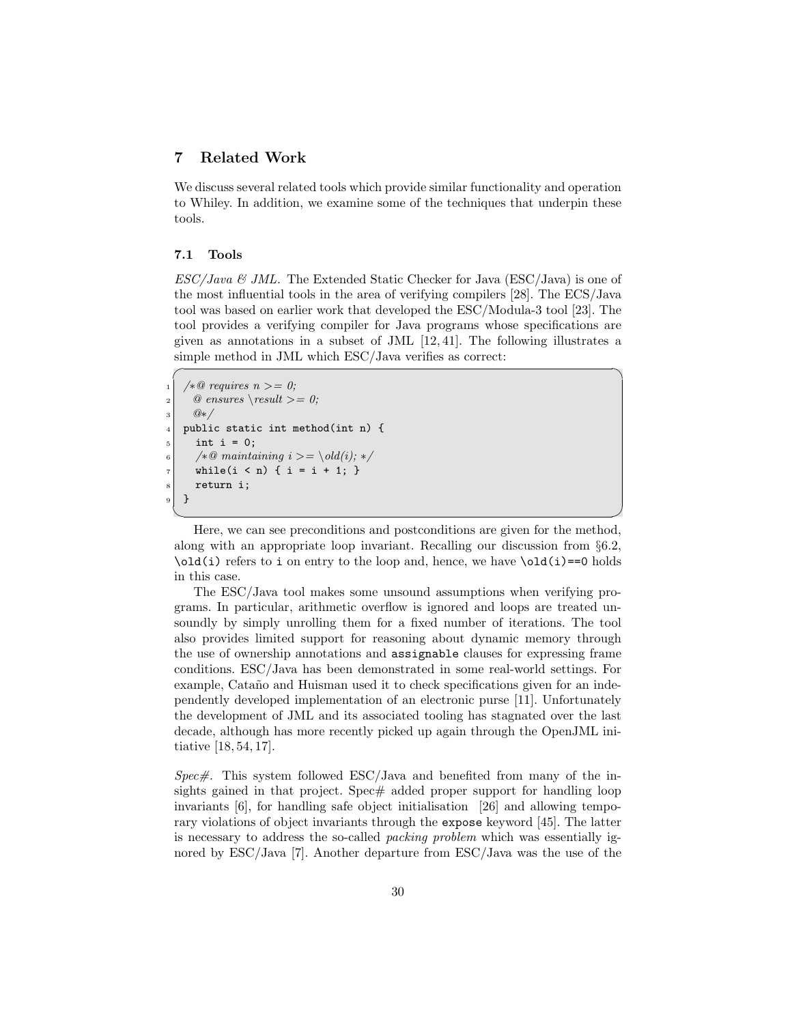### 7 Related Work

We discuss several related tools which provide similar functionality and operation to Whiley. In addition, we examine some of the techniques that underpin these tools.

#### 7.1 Tools

 $ESC/Java \& JML$ . The Extended Static Checker for Java (ESC/Java) is one of the most influential tools in the area of verifying compilers [28]. The ECS/Java tool was based on earlier work that developed the ESC/Modula-3 tool [23]. The tool provides a verifying compiler for Java programs whose specifications are given as annotations in a subset of JML [12, 41]. The following illustrates a  $\sqrt{2}$ simple method in JML which ESC/Java verifies as correct:

```
4 \times @ requires n \geq 0;
    @ ensures \result >= 0;
    @*/public static int method(int n) {
     int i = 0;
     /∗@ maintaining i > = \old(i); */
     while(i < n) { i = i + 1; }
8 return i;
9 }
```
Here, we can see preconditions and postconditions are given for the method, along with an appropriate loop invariant. Recalling our discussion from §6.2,  $\delta$  \old(i) refers to i on entry to the loop and, hence, we have  $\delta$  \old(i)==0 holds in this case.

 $\overline{\phantom{a}}$ 

The ESC/Java tool makes some unsound assumptions when verifying programs. In particular, arithmetic overflow is ignored and loops are treated unsoundly by simply unrolling them for a fixed number of iterations. The tool also provides limited support for reasoning about dynamic memory through the use of ownership annotations and assignable clauses for expressing frame conditions. ESC/Java has been demonstrated in some real-world settings. For example, Cataño and Huisman used it to check specifications given for an independently developed implementation of an electronic purse [11]. Unfortunately the development of JML and its associated tooling has stagnated over the last decade, although has more recently picked up again through the OpenJML initiative [18, 54, 17].

 $Spec \#$ . This system followed ESC/Java and benefited from many of the insights gained in that project. Spec# added proper support for handling loop invariants [6], for handling safe object initialisation [26] and allowing temporary violations of object invariants through the expose keyword [45]. The latter is necessary to address the so-called packing problem which was essentially ignored by ESC/Java [7]. Another departure from ESC/Java was the use of the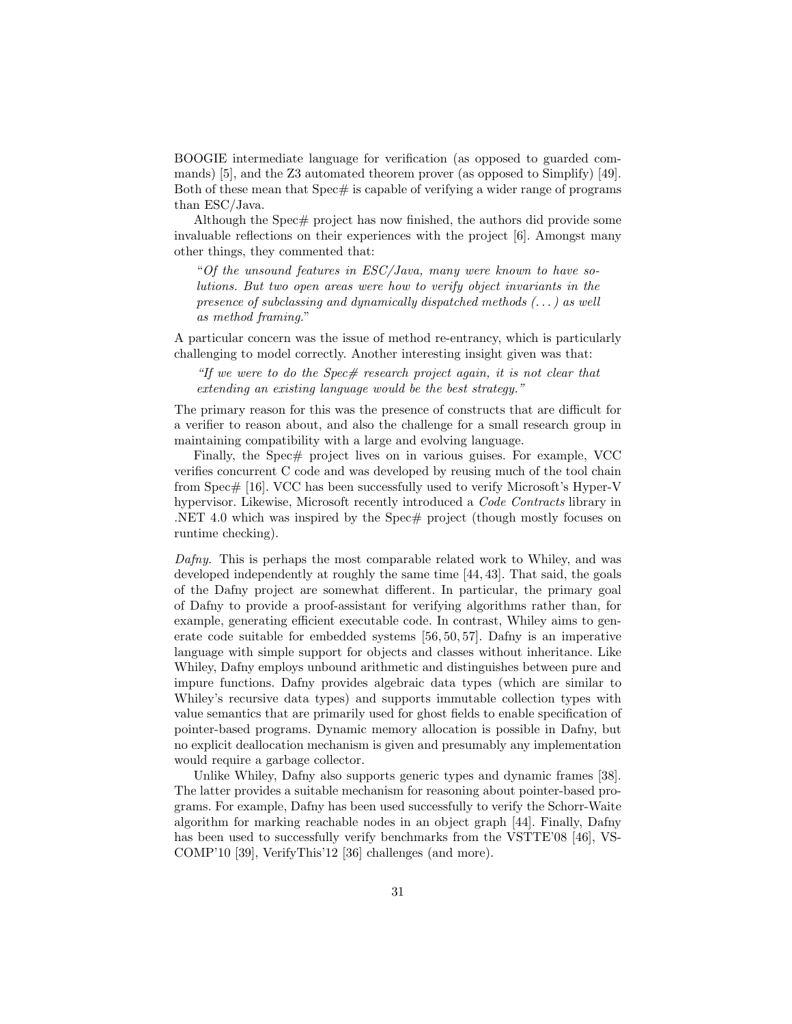BOOGIE intermediate language for verification (as opposed to guarded commands) [5], and the Z3 automated theorem prover (as opposed to Simplify) [49]. Both of these mean that  $Spec \#$  is capable of verifying a wider range of programs than ESC/Java.

Although the Spec# project has now finished, the authors did provide some invaluable reflections on their experiences with the project [6]. Amongst many other things, they commented that:

"Of the unsound features in ESC/Java, many were known to have solutions. But two open areas were how to verify object invariants in the presence of subclassing and dynamically dispatched methods (. . . ) as well as method framing."

A particular concern was the issue of method re-entrancy, which is particularly challenging to model correctly. Another interesting insight given was that:

"If we were to do the Spec# research project again, it is not clear that extending an existing language would be the best strategy."

The primary reason for this was the presence of constructs that are difficult for a verifier to reason about, and also the challenge for a small research group in maintaining compatibility with a large and evolving language.

Finally, the Spec# project lives on in various guises. For example, VCC verifies concurrent C code and was developed by reusing much of the tool chain from Spec# [16]. VCC has been successfully used to verify Microsoft's Hyper-V hypervisor. Likewise, Microsoft recently introduced a *Code Contracts* library in .NET 4.0 which was inspired by the Spec $#$  project (though mostly focuses on runtime checking).

Dafny. This is perhaps the most comparable related work to Whiley, and was developed independently at roughly the same time [44, 43]. That said, the goals of the Dafny project are somewhat different. In particular, the primary goal of Dafny to provide a proof-assistant for verifying algorithms rather than, for example, generating efficient executable code. In contrast, Whiley aims to generate code suitable for embedded systems [56, 50, 57]. Dafny is an imperative language with simple support for objects and classes without inheritance. Like Whiley, Dafny employs unbound arithmetic and distinguishes between pure and impure functions. Dafny provides algebraic data types (which are similar to Whiley's recursive data types) and supports immutable collection types with value semantics that are primarily used for ghost fields to enable specification of pointer-based programs. Dynamic memory allocation is possible in Dafny, but no explicit deallocation mechanism is given and presumably any implementation would require a garbage collector.

Unlike Whiley, Dafny also supports generic types and dynamic frames [38]. The latter provides a suitable mechanism for reasoning about pointer-based programs. For example, Dafny has been used successfully to verify the Schorr-Waite algorithm for marking reachable nodes in an object graph [44]. Finally, Dafny has been used to successfully verify benchmarks from the VSTTE'08 [46], VS-COMP'10 [39], VerifyThis'12 [36] challenges (and more).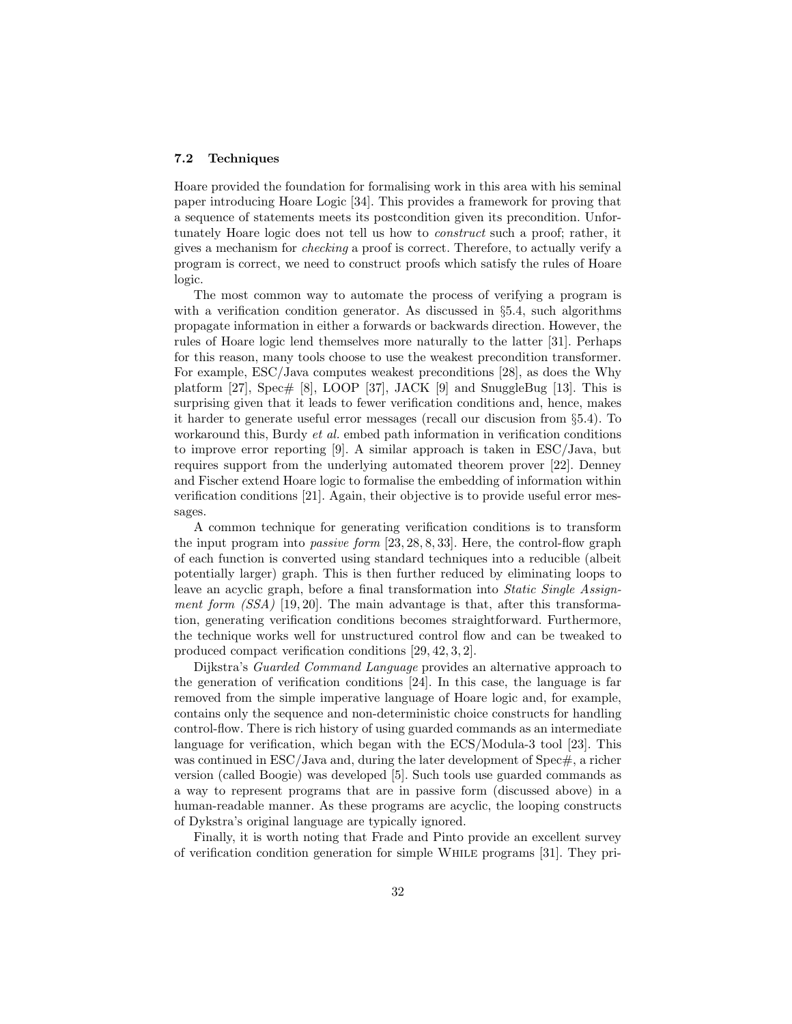#### 7.2 Techniques

Hoare provided the foundation for formalising work in this area with his seminal paper introducing Hoare Logic [34]. This provides a framework for proving that a sequence of statements meets its postcondition given its precondition. Unfortunately Hoare logic does not tell us how to construct such a proof; rather, it gives a mechanism for checking a proof is correct. Therefore, to actually verify a program is correct, we need to construct proofs which satisfy the rules of Hoare logic.

The most common way to automate the process of verifying a program is with a verification condition generator. As discussed in §5.4, such algorithms propagate information in either a forwards or backwards direction. However, the rules of Hoare logic lend themselves more naturally to the latter [31]. Perhaps for this reason, many tools choose to use the weakest precondition transformer. For example, ESC/Java computes weakest preconditions [28], as does the Why platform  $[27]$ , Spec $\#$  [8], LOOP [37], JACK [9] and SnuggleBug [13]. This is surprising given that it leads to fewer verification conditions and, hence, makes it harder to generate useful error messages (recall our discusion from §5.4). To workaround this, Burdy et al. embed path information in verification conditions to improve error reporting [9]. A similar approach is taken in ESC/Java, but requires support from the underlying automated theorem prover [22]. Denney and Fischer extend Hoare logic to formalise the embedding of information within verification conditions [21]. Again, their objective is to provide useful error messages.

A common technique for generating verification conditions is to transform the input program into passive form [23, 28, 8, 33]. Here, the control-flow graph of each function is converted using standard techniques into a reducible (albeit potentially larger) graph. This is then further reduced by eliminating loops to leave an acyclic graph, before a final transformation into *Static Single Assign*ment form  $(SSA)$  [19, 20]. The main advantage is that, after this transformation, generating verification conditions becomes straightforward. Furthermore, the technique works well for unstructured control flow and can be tweaked to produced compact verification conditions [29, 42, 3, 2].

Dijkstra's Guarded Command Language provides an alternative approach to the generation of verification conditions [24]. In this case, the language is far removed from the simple imperative language of Hoare logic and, for example, contains only the sequence and non-deterministic choice constructs for handling control-flow. There is rich history of using guarded commands as an intermediate language for verification, which began with the ECS/Modula-3 tool [23]. This was continued in ESC/Java and, during the later development of Spec#, a richer version (called Boogie) was developed [5]. Such tools use guarded commands as a way to represent programs that are in passive form (discussed above) in a human-readable manner. As these programs are acyclic, the looping constructs of Dykstra's original language are typically ignored.

Finally, it is worth noting that Frade and Pinto provide an excellent survey of verification condition generation for simple While programs [31]. They pri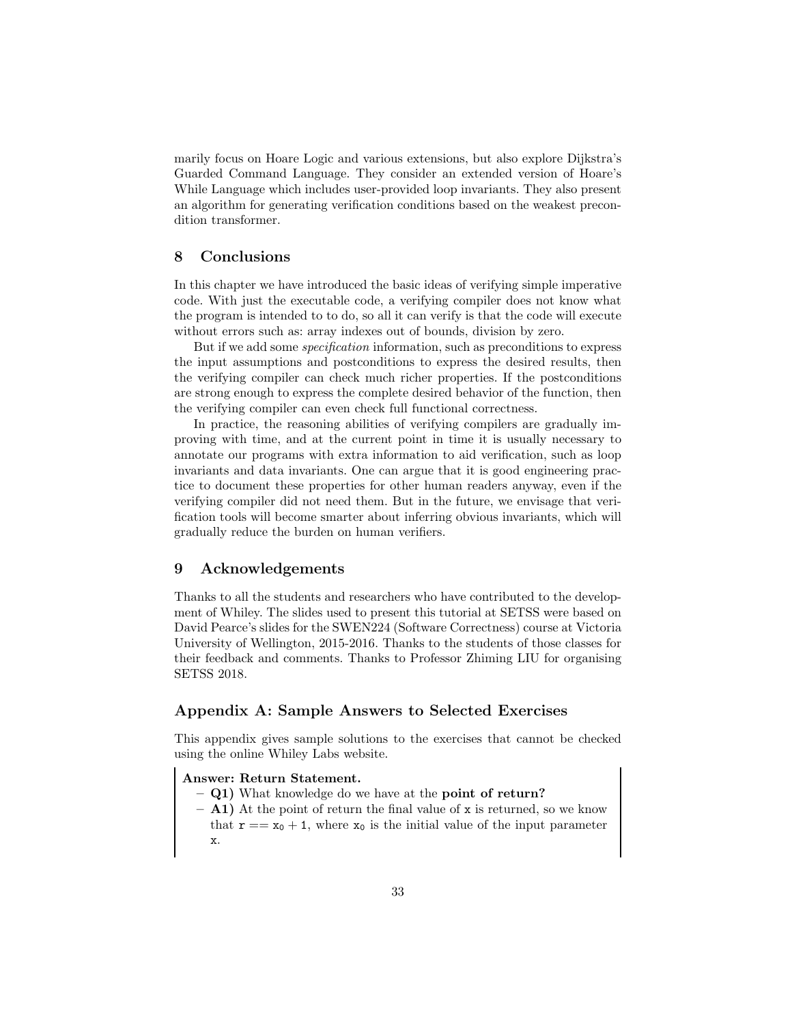marily focus on Hoare Logic and various extensions, but also explore Dijkstra's Guarded Command Language. They consider an extended version of Hoare's While Language which includes user-provided loop invariants. They also present an algorithm for generating verification conditions based on the weakest precondition transformer.

### 8 Conclusions

In this chapter we have introduced the basic ideas of verifying simple imperative code. With just the executable code, a verifying compiler does not know what the program is intended to to do, so all it can verify is that the code will execute without errors such as: array indexes out of bounds, division by zero.

But if we add some specification information, such as preconditions to express the input assumptions and postconditions to express the desired results, then the verifying compiler can check much richer properties. If the postconditions are strong enough to express the complete desired behavior of the function, then the verifying compiler can even check full functional correctness.

In practice, the reasoning abilities of verifying compilers are gradually improving with time, and at the current point in time it is usually necessary to annotate our programs with extra information to aid verification, such as loop invariants and data invariants. One can argue that it is good engineering practice to document these properties for other human readers anyway, even if the verifying compiler did not need them. But in the future, we envisage that verification tools will become smarter about inferring obvious invariants, which will gradually reduce the burden on human verifiers.

### 9 Acknowledgements

Thanks to all the students and researchers who have contributed to the development of Whiley. The slides used to present this tutorial at SETSS were based on David Pearce's slides for the SWEN224 (Software Correctness) course at Victoria University of Wellington, 2015-2016. Thanks to the students of those classes for their feedback and comments. Thanks to Professor Zhiming LIU for organising SETSS 2018.

# Appendix A: Sample Answers to Selected Exercises

This appendix gives sample solutions to the exercises that cannot be checked using the online Whiley Labs website.

### Answer: Return Statement.

- Q1) What knowledge do we have at the point of return?
- **A1)** At the point of return the final value of  $x$  is returned, so we know that  $\mathbf{r} = \mathbf{x}_0 + \mathbf{1}$ , where  $\mathbf{x}_0$  is the initial value of the input parameter x.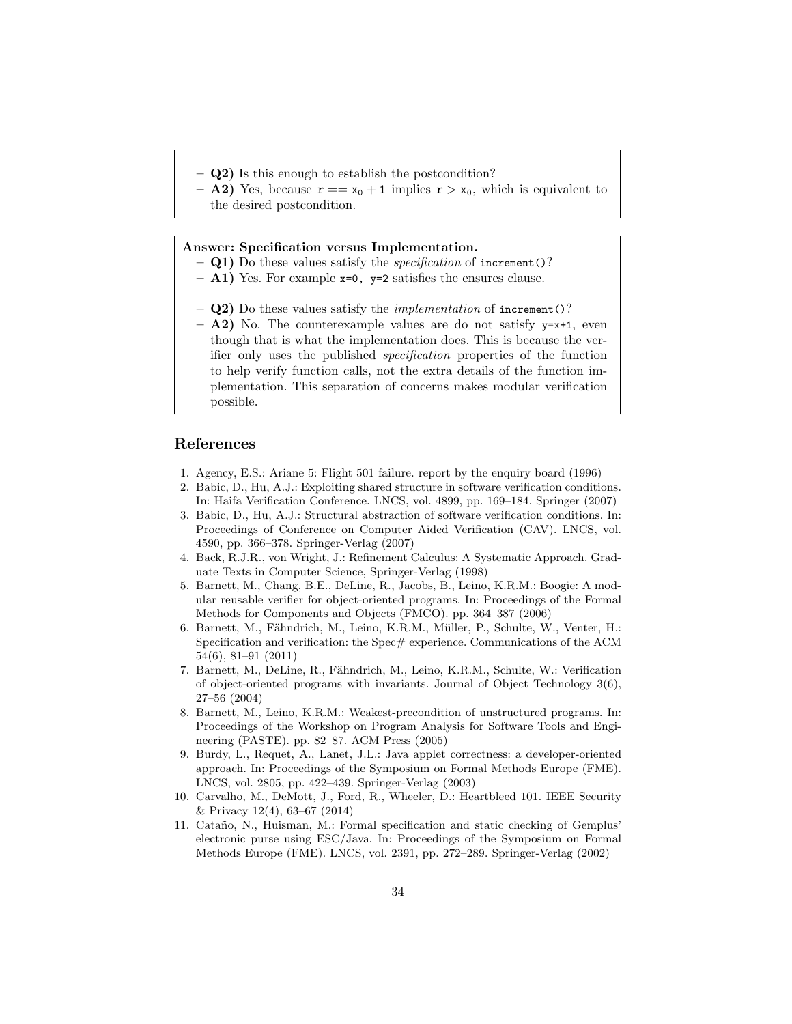- $-$  Q2) Is this enough to establish the postcondition?
- $-$  A2) Yes, because  $r = x_0 + 1$  implies  $r > x_0$ , which is equivalent to the desired postcondition.

#### Answer: Specification versus Implementation.

- $Q1$ ) Do these values satisfy the *specification* of increment()?
- $\mathbf{A1}$ ) Yes. For example x=0, y=2 satisfies the ensures clause.
- $Q2$ ) Do these values satisfy the *implementation* of increment()?
- $-$  A2) No. The counterexample values are do not satisfy  $y=x+1$ , even though that is what the implementation does. This is because the verifier only uses the published specification properties of the function to help verify function calls, not the extra details of the function implementation. This separation of concerns makes modular verification possible.

### References

- 1. Agency, E.S.: Ariane 5: Flight 501 failure. report by the enquiry board (1996)
- 2. Babic, D., Hu, A.J.: Exploiting shared structure in software verification conditions. In: Haifa Verification Conference. LNCS, vol. 4899, pp. 169–184. Springer (2007)
- 3. Babic, D., Hu, A.J.: Structural abstraction of software verification conditions. In: Proceedings of Conference on Computer Aided Verification (CAV). LNCS, vol. 4590, pp. 366–378. Springer-Verlag (2007)
- 4. Back, R.J.R., von Wright, J.: Refinement Calculus: A Systematic Approach. Graduate Texts in Computer Science, Springer-Verlag (1998)
- 5. Barnett, M., Chang, B.E., DeLine, R., Jacobs, B., Leino, K.R.M.: Boogie: A modular reusable verifier for object-oriented programs. In: Proceedings of the Formal Methods for Components and Objects (FMCO). pp. 364–387 (2006)
- 6. Barnett, M., Fähndrich, M., Leino, K.R.M., Müller, P., Schulte, W., Venter, H.: Specification and verification: the Spec# experience. Communications of the ACM 54(6), 81–91 (2011)
- 7. Barnett, M., DeLine, R., Fähndrich, M., Leino, K.R.M., Schulte, W.: Verification of object-oriented programs with invariants. Journal of Object Technology  $3(6)$ , 27–56 (2004)
- 8. Barnett, M., Leino, K.R.M.: Weakest-precondition of unstructured programs. In: Proceedings of the Workshop on Program Analysis for Software Tools and Engineering (PASTE). pp. 82–87. ACM Press (2005)
- 9. Burdy, L., Requet, A., Lanet, J.L.: Java applet correctness: a developer-oriented approach. In: Proceedings of the Symposium on Formal Methods Europe (FME). LNCS, vol. 2805, pp. 422–439. Springer-Verlag (2003)
- 10. Carvalho, M., DeMott, J., Ford, R., Wheeler, D.: Heartbleed 101. IEEE Security & Privacy 12(4), 63–67 (2014)
- 11. Cata˜no, N., Huisman, M.: Formal specification and static checking of Gemplus' electronic purse using ESC/Java. In: Proceedings of the Symposium on Formal Methods Europe (FME). LNCS, vol. 2391, pp. 272–289. Springer-Verlag (2002)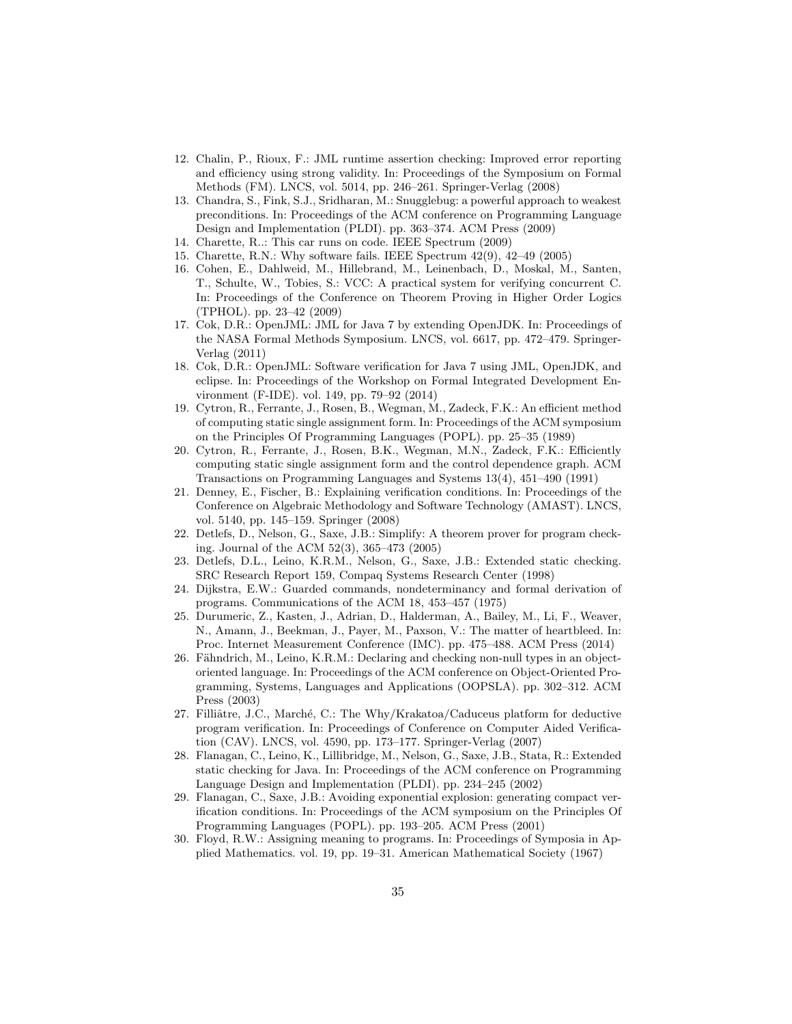- 12. Chalin, P., Rioux, F.: JML runtime assertion checking: Improved error reporting and efficiency using strong validity. In: Proceedings of the Symposium on Formal Methods (FM). LNCS, vol. 5014, pp. 246–261. Springer-Verlag (2008)
- 13. Chandra, S., Fink, S.J., Sridharan, M.: Snugglebug: a powerful approach to weakest preconditions. In: Proceedings of the ACM conference on Programming Language Design and Implementation (PLDI). pp. 363–374. ACM Press (2009)
- 14. Charette, R..: This car runs on code. IEEE Spectrum (2009)
- 15. Charette, R.N.: Why software fails. IEEE Spectrum 42(9), 42–49 (2005)
- 16. Cohen, E., Dahlweid, M., Hillebrand, M., Leinenbach, D., Moskal, M., Santen, T., Schulte, W., Tobies, S.: VCC: A practical system for verifying concurrent C. In: Proceedings of the Conference on Theorem Proving in Higher Order Logics (TPHOL). pp. 23–42 (2009)
- 17. Cok, D.R.: OpenJML: JML for Java 7 by extending OpenJDK. In: Proceedings of the NASA Formal Methods Symposium. LNCS, vol. 6617, pp. 472–479. Springer-Verlag (2011)
- 18. Cok, D.R.: OpenJML: Software verification for Java 7 using JML, OpenJDK, and eclipse. In: Proceedings of the Workshop on Formal Integrated Development Environment (F-IDE). vol. 149, pp. 79–92 (2014)
- 19. Cytron, R., Ferrante, J., Rosen, B., Wegman, M., Zadeck, F.K.: An efficient method of computing static single assignment form. In: Proceedings of the ACM symposium on the Principles Of Programming Languages (POPL). pp. 25–35 (1989)
- 20. Cytron, R., Ferrante, J., Rosen, B.K., Wegman, M.N., Zadeck, F.K.: Efficiently computing static single assignment form and the control dependence graph. ACM Transactions on Programming Languages and Systems 13(4), 451–490 (1991)
- 21. Denney, E., Fischer, B.: Explaining verification conditions. In: Proceedings of the Conference on Algebraic Methodology and Software Technology (AMAST). LNCS, vol. 5140, pp. 145–159. Springer (2008)
- 22. Detlefs, D., Nelson, G., Saxe, J.B.: Simplify: A theorem prover for program checking. Journal of the ACM 52(3), 365–473 (2005)
- 23. Detlefs, D.L., Leino, K.R.M., Nelson, G., Saxe, J.B.: Extended static checking. SRC Research Report 159, Compaq Systems Research Center (1998)
- 24. Dijkstra, E.W.: Guarded commands, nondeterminancy and formal derivation of programs. Communications of the ACM 18, 453–457 (1975)
- 25. Durumeric, Z., Kasten, J., Adrian, D., Halderman, A., Bailey, M., Li, F., Weaver, N., Amann, J., Beekman, J., Payer, M., Paxson, V.: The matter of heartbleed. In: Proc. Internet Measurement Conference (IMC). pp. 475–488. ACM Press (2014)
- 26. Fähndrich, M., Leino, K.R.M.: Declaring and checking non-null types in an objectoriented language. In: Proceedings of the ACM conference on Object-Oriented Programming, Systems, Languages and Applications (OOPSLA). pp. 302–312. ACM Press (2003)
- 27. Filliâtre, J.C., Marché, C.: The Why/Krakatoa/Caduceus platform for deductive program verification. In: Proceedings of Conference on Computer Aided Verification (CAV). LNCS, vol. 4590, pp. 173–177. Springer-Verlag (2007)
- 28. Flanagan, C., Leino, K., Lillibridge, M., Nelson, G., Saxe, J.B., Stata, R.: Extended static checking for Java. In: Proceedings of the ACM conference on Programming Language Design and Implementation (PLDI). pp. 234–245 (2002)
- 29. Flanagan, C., Saxe, J.B.: Avoiding exponential explosion: generating compact verification conditions. In: Proceedings of the ACM symposium on the Principles Of Programming Languages (POPL). pp. 193–205. ACM Press (2001)
- 30. Floyd, R.W.: Assigning meaning to programs. In: Proceedings of Symposia in Applied Mathematics. vol. 19, pp. 19–31. American Mathematical Society (1967)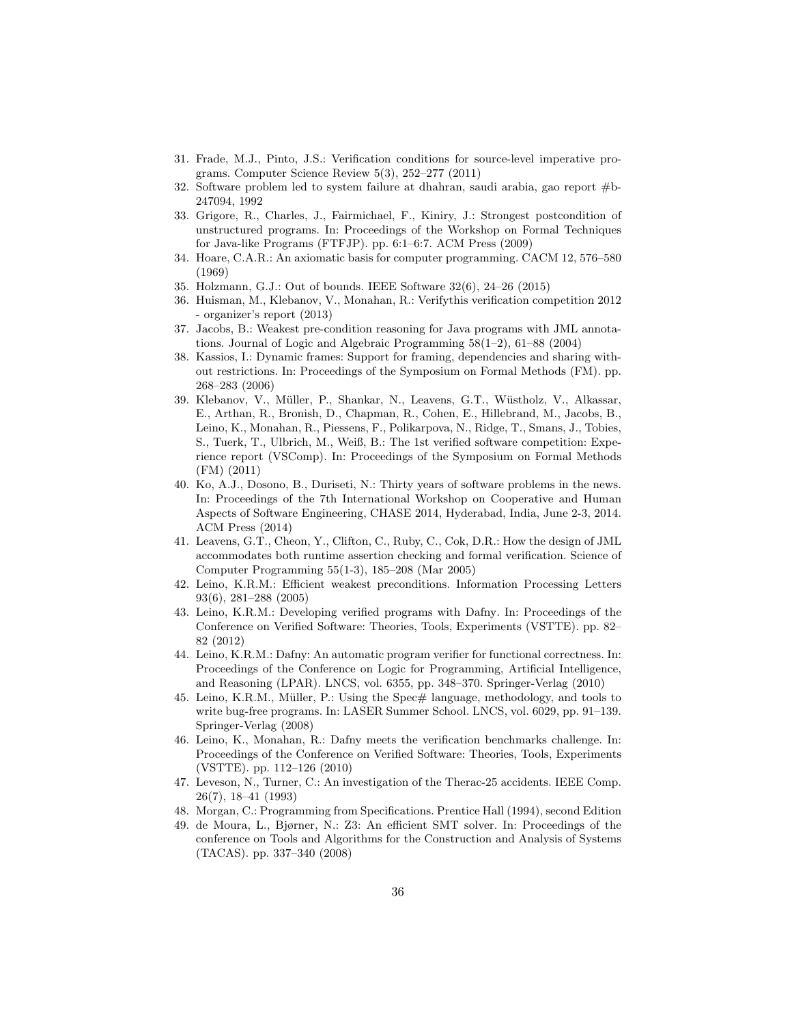- 31. Frade, M.J., Pinto, J.S.: Verification conditions for source-level imperative programs. Computer Science Review 5(3), 252–277 (2011)
- 32. Software problem led to system failure at dhahran, saudi arabia, gao report #b-247094, 1992
- 33. Grigore, R., Charles, J., Fairmichael, F., Kiniry, J.: Strongest postcondition of unstructured programs. In: Proceedings of the Workshop on Formal Techniques for Java-like Programs (FTFJP). pp. 6:1–6:7. ACM Press (2009)
- 34. Hoare, C.A.R.: An axiomatic basis for computer programming. CACM 12, 576–580 (1969)
- 35. Holzmann, G.J.: Out of bounds. IEEE Software 32(6), 24–26 (2015)
- 36. Huisman, M., Klebanov, V., Monahan, R.: Verifythis verification competition 2012 - organizer's report (2013)
- 37. Jacobs, B.: Weakest pre-condition reasoning for Java programs with JML annotations. Journal of Logic and Algebraic Programming 58(1–2), 61–88 (2004)
- 38. Kassios, I.: Dynamic frames: Support for framing, dependencies and sharing without restrictions. In: Proceedings of the Symposium on Formal Methods (FM). pp. 268–283 (2006)
- 39. Klebanov, V., M¨uller, P., Shankar, N., Leavens, G.T., W¨ustholz, V., Alkassar, E., Arthan, R., Bronish, D., Chapman, R., Cohen, E., Hillebrand, M., Jacobs, B., Leino, K., Monahan, R., Piessens, F., Polikarpova, N., Ridge, T., Smans, J., Tobies, S., Tuerk, T., Ulbrich, M., Weiß, B.: The 1st verified software competition: Experience report (VSComp). In: Proceedings of the Symposium on Formal Methods (FM) (2011)
- 40. Ko, A.J., Dosono, B., Duriseti, N.: Thirty years of software problems in the news. In: Proceedings of the 7th International Workshop on Cooperative and Human Aspects of Software Engineering, CHASE 2014, Hyderabad, India, June 2-3, 2014. ACM Press (2014)
- 41. Leavens, G.T., Cheon, Y., Clifton, C., Ruby, C., Cok, D.R.: How the design of JML accommodates both runtime assertion checking and formal verification. Science of Computer Programming 55(1-3), 185–208 (Mar 2005)
- 42. Leino, K.R.M.: Efficient weakest preconditions. Information Processing Letters 93(6), 281–288 (2005)
- 43. Leino, K.R.M.: Developing verified programs with Dafny. In: Proceedings of the Conference on Verified Software: Theories, Tools, Experiments (VSTTE). pp. 82– 82 (2012)
- 44. Leino, K.R.M.: Dafny: An automatic program verifier for functional correctness. In: Proceedings of the Conference on Logic for Programming, Artificial Intelligence, and Reasoning (LPAR). LNCS, vol. 6355, pp. 348–370. Springer-Verlag (2010)
- 45. Leino, K.R.M., Müller, P.: Using the Spec# language, methodology, and tools to write bug-free programs. In: LASER Summer School. LNCS, vol. 6029, pp. 91–139. Springer-Verlag (2008)
- 46. Leino, K., Monahan, R.: Dafny meets the verification benchmarks challenge. In: Proceedings of the Conference on Verified Software: Theories, Tools, Experiments (VSTTE). pp. 112–126 (2010)
- 47. Leveson, N., Turner, C.: An investigation of the Therac-25 accidents. IEEE Comp. 26(7), 18–41 (1993)
- 48. Morgan, C.: Programming from Specifications. Prentice Hall (1994), second Edition
- 49. de Moura, L., Bjørner, N.: Z3: An efficient SMT solver. In: Proceedings of the conference on Tools and Algorithms for the Construction and Analysis of Systems (TACAS). pp. 337–340 (2008)